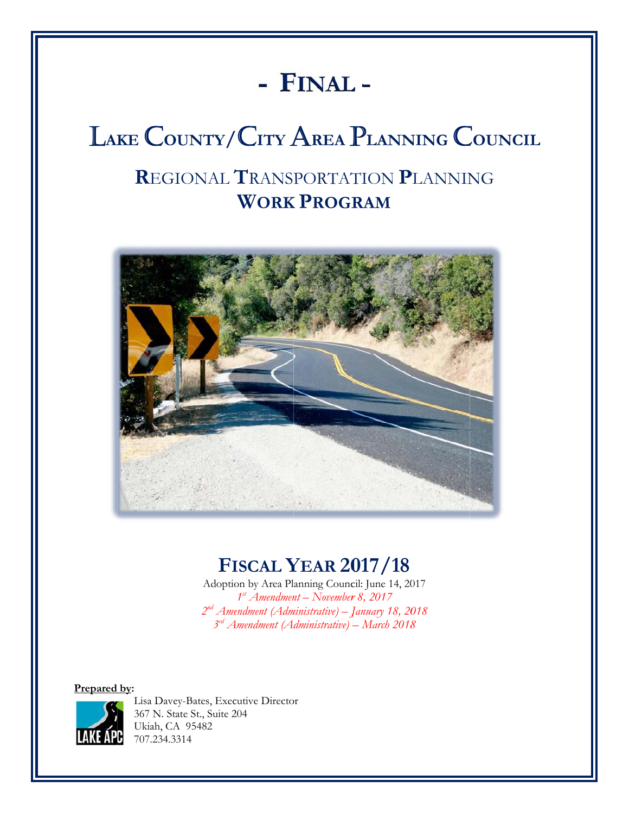# **- F FINAL L -**

# $\blacksquare$  Lake  $\blacksquare$  County/ City Area Planning Council

## **R**EGI IONAL **T** RANS PORTAT TION **P P**LANNIN NG  **<b>PROGRAM**



## **FI ISCAL Y YEAR 20 017/18**

Adoption by Area Planning Council: June 14, 2017 2<sup>nd</sup> Amendment (Administrative) – January 18, 2018 *3rd A Amendment (A dministrative) – – March 2018 8* 1<sup>st</sup> Amendment – November 8, 2017

**Prepared by:** 



Lisa Davey-Bates, Executive Director 367 N. State St., Suite 204 Ukiah, CA A 95482 707.234.3 314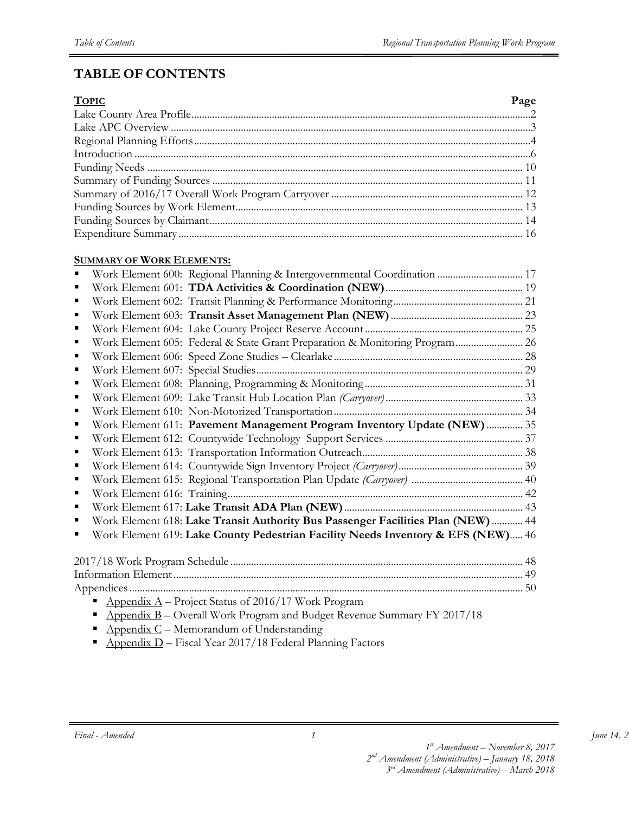## **TABLE OF CONTENTS**

| <b>TOPIC</b> | Page |
|--------------|------|
|              |      |
|              |      |
|              |      |
|              |      |
|              |      |
|              |      |
|              |      |
|              |      |
|              |      |
|              |      |

#### **SUMMARY OF WORK ELEMENTS:**

|   | Work Element 600: Regional Planning & Intergovernmental Coordination  17         |  |
|---|----------------------------------------------------------------------------------|--|
|   |                                                                                  |  |
|   |                                                                                  |  |
| ■ |                                                                                  |  |
|   |                                                                                  |  |
| ■ | Work Element 605: Federal & State Grant Preparation & Monitoring Program 26      |  |
|   |                                                                                  |  |
| ٠ |                                                                                  |  |
|   |                                                                                  |  |
|   |                                                                                  |  |
|   |                                                                                  |  |
|   | Work Element 611: Pavement Management Program Inventory Update (NEW)  35         |  |
| ■ |                                                                                  |  |
| п |                                                                                  |  |
| ■ |                                                                                  |  |
| ٠ |                                                                                  |  |
|   |                                                                                  |  |
| ٠ |                                                                                  |  |
|   | Work Element 618: Lake Transit Authority Bus Passenger Facilities Plan (NEW)  44 |  |
|   | Work Element 619: Lake County Pedestrian Facility Needs Inventory & EFS (NEW) 46 |  |
|   |                                                                                  |  |
|   |                                                                                  |  |
|   |                                                                                  |  |
|   |                                                                                  |  |
|   | Appendix $A$ – Project Status of 2016/17 Work Program                            |  |

 $\Delta$  Appendix B – Overall Work Program and Budget Revenue Summary FY 2017/18

*1*

- $\blacksquare$  Appendix C Memorandum of Understanding
- $\blacksquare$  Appendix D Fiscal Year 2017/18 Federal Planning Factors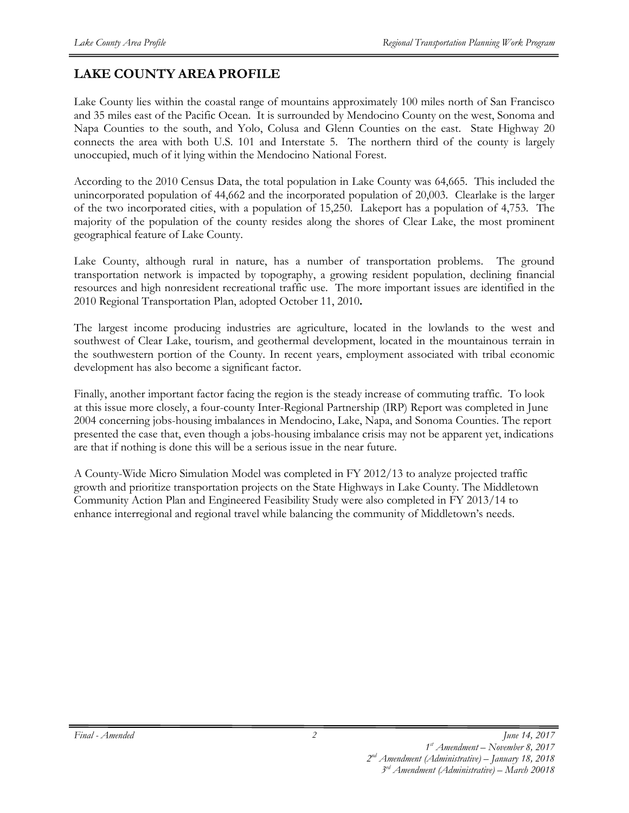## **LAKE COUNTY AREA PROFILE**

Lake County lies within the coastal range of mountains approximately 100 miles north of San Francisco and 35 miles east of the Pacific Ocean. It is surrounded by Mendocino County on the west, Sonoma and Napa Counties to the south, and Yolo, Colusa and Glenn Counties on the east. State Highway 20 connects the area with both U.S. 101 and Interstate 5. The northern third of the county is largely unoccupied, much of it lying within the Mendocino National Forest.

According to the 2010 Census Data, the total population in Lake County was 64,665. This included the unincorporated population of 44,662 and the incorporated population of 20,003. Clearlake is the larger of the two incorporated cities, with a population of 15,250. Lakeport has a population of 4,753. The majority of the population of the county resides along the shores of Clear Lake, the most prominent geographical feature of Lake County.

Lake County, although rural in nature, has a number of transportation problems. The ground transportation network is impacted by topography, a growing resident population, declining financial resources and high nonresident recreational traffic use. The more important issues are identified in the 2010 Regional Transportation Plan, adopted October 11, 2010**.** 

The largest income producing industries are agriculture, located in the lowlands to the west and southwest of Clear Lake, tourism, and geothermal development, located in the mountainous terrain in the southwestern portion of the County. In recent years, employment associated with tribal economic development has also become a significant factor.

Finally, another important factor facing the region is the steady increase of commuting traffic. To look at this issue more closely, a four-county Inter-Regional Partnership (IRP) Report was completed in June 2004 concerning jobs-housing imbalances in Mendocino, Lake, Napa, and Sonoma Counties. The report presented the case that, even though a jobs-housing imbalance crisis may not be apparent yet, indications are that if nothing is done this will be a serious issue in the near future.

A County-Wide Micro Simulation Model was completed in FY 2012/13 to analyze projected traffic growth and prioritize transportation projects on the State Highways in Lake County. The Middletown Community Action Plan and Engineered Feasibility Study were also completed in FY 2013/14 to enhance interregional and regional travel while balancing the community of Middletown's needs.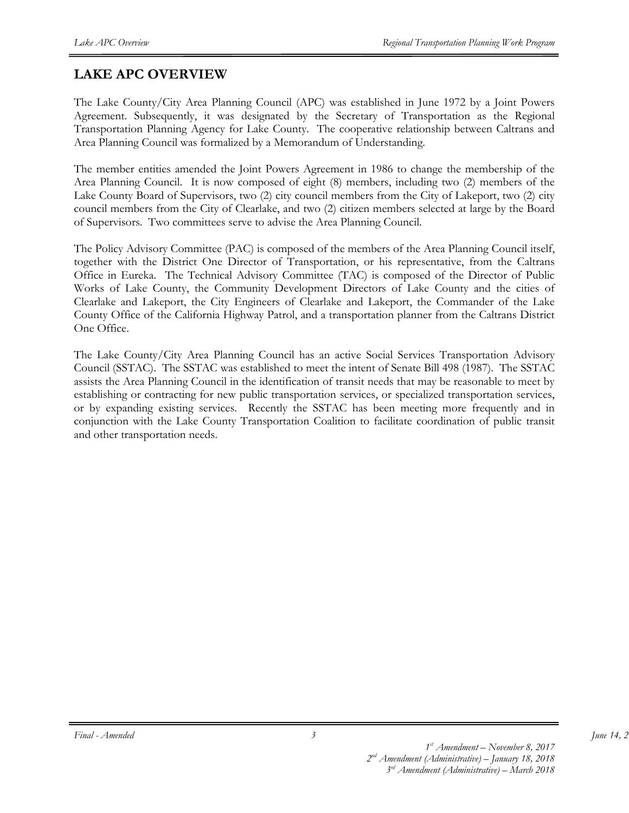## **LAKE APC OVERVIEW**

The Lake County/City Area Planning Council (APC) was established in June 1972 by a Joint Powers Agreement. Subsequently, it was designated by the Secretary of Transportation as the Regional Transportation Planning Agency for Lake County. The cooperative relationship between Caltrans and Area Planning Council was formalized by a Memorandum of Understanding.

The member entities amended the Joint Powers Agreement in 1986 to change the membership of the Area Planning Council. It is now composed of eight (8) members, including two (2) members of the Lake County Board of Supervisors, two (2) city council members from the City of Lakeport, two (2) city council members from the City of Clearlake, and two (2) citizen members selected at large by the Board of Supervisors. Two committees serve to advise the Area Planning Council.

The Policy Advisory Committee (PAC) is composed of the members of the Area Planning Council itself, together with the District One Director of Transportation, or his representative, from the Caltrans Office in Eureka. The Technical Advisory Committee (TAC) is composed of the Director of Public Works of Lake County, the Community Development Directors of Lake County and the cities of Clearlake and Lakeport, the City Engineers of Clearlake and Lakeport, the Commander of the Lake County Office of the California Highway Patrol, and a transportation planner from the Caltrans District One Office.

The Lake County/City Area Planning Council has an active Social Services Transportation Advisory Council (SSTAC). The SSTAC was established to meet the intent of Senate Bill 498 (1987). The SSTAC assists the Area Planning Council in the identification of transit needs that may be reasonable to meet by establishing or contracting for new public transportation services, or specialized transportation services, or by expanding existing services. Recently the SSTAC has been meeting more frequently and in conjunction with the Lake County Transportation Coalition to facilitate coordination of public transit and other transportation needs.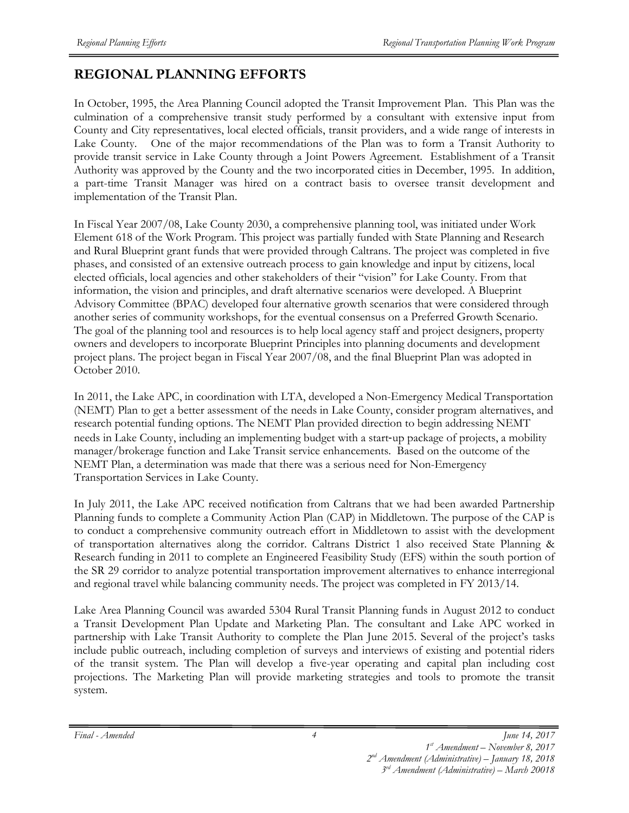## **REGIONAL PLANNING EFFORTS**

In October, 1995, the Area Planning Council adopted the Transit Improvement Plan. This Plan was the culmination of a comprehensive transit study performed by a consultant with extensive input from County and City representatives, local elected officials, transit providers, and a wide range of interests in Lake County. One of the major recommendations of the Plan was to form a Transit Authority to provide transit service in Lake County through a Joint Powers Agreement. Establishment of a Transit Authority was approved by the County and the two incorporated cities in December, 1995. In addition, a part-time Transit Manager was hired on a contract basis to oversee transit development and implementation of the Transit Plan.

In Fiscal Year 2007/08, Lake County 2030, a comprehensive planning tool, was initiated under Work Element 618 of the Work Program. This project was partially funded with State Planning and Research and Rural Blueprint grant funds that were provided through Caltrans. The project was completed in five phases, and consisted of an extensive outreach process to gain knowledge and input by citizens, local elected officials, local agencies and other stakeholders of their "vision" for Lake County. From that information, the vision and principles, and draft alternative scenarios were developed. A Blueprint Advisory Committee (BPAC) developed four alternative growth scenarios that were considered through another series of community workshops, for the eventual consensus on a Preferred Growth Scenario. The goal of the planning tool and resources is to help local agency staff and project designers, property owners and developers to incorporate Blueprint Principles into planning documents and development project plans. The project began in Fiscal Year 2007/08, and the final Blueprint Plan was adopted in October 2010.

In 2011, the Lake APC, in coordination with LTA, developed a Non-Emergency Medical Transportation (NEMT) Plan to get a better assessment of the needs in Lake County, consider program alternatives, and research potential funding options. The NEMT Plan provided direction to begin addressing NEMT needs in Lake County, including an implementing budget with a start-up package of projects, a mobility manager/brokerage function and Lake Transit service enhancements. Based on the outcome of the NEMT Plan, a determination was made that there was a serious need for Non-Emergency Transportation Services in Lake County.

In July 2011, the Lake APC received notification from Caltrans that we had been awarded Partnership Planning funds to complete a Community Action Plan (CAP) in Middletown. The purpose of the CAP is to conduct a comprehensive community outreach effort in Middletown to assist with the development of transportation alternatives along the corridor. Caltrans District 1 also received State Planning & Research funding in 2011 to complete an Engineered Feasibility Study (EFS) within the south portion of the SR 29 corridor to analyze potential transportation improvement alternatives to enhance interregional and regional travel while balancing community needs. The project was completed in FY 2013/14.

Lake Area Planning Council was awarded 5304 Rural Transit Planning funds in August 2012 to conduct a Transit Development Plan Update and Marketing Plan. The consultant and Lake APC worked in partnership with Lake Transit Authority to complete the Plan June 2015. Several of the project's tasks include public outreach, including completion of surveys and interviews of existing and potential riders of the transit system. The Plan will develop a five-year operating and capital plan including cost projections. The Marketing Plan will provide marketing strategies and tools to promote the transit system.

*4*

*<sup>2</sup>nd Amendment (Administrative) – January 18, 2018 3rd Amendment (Administrative) – March 20018*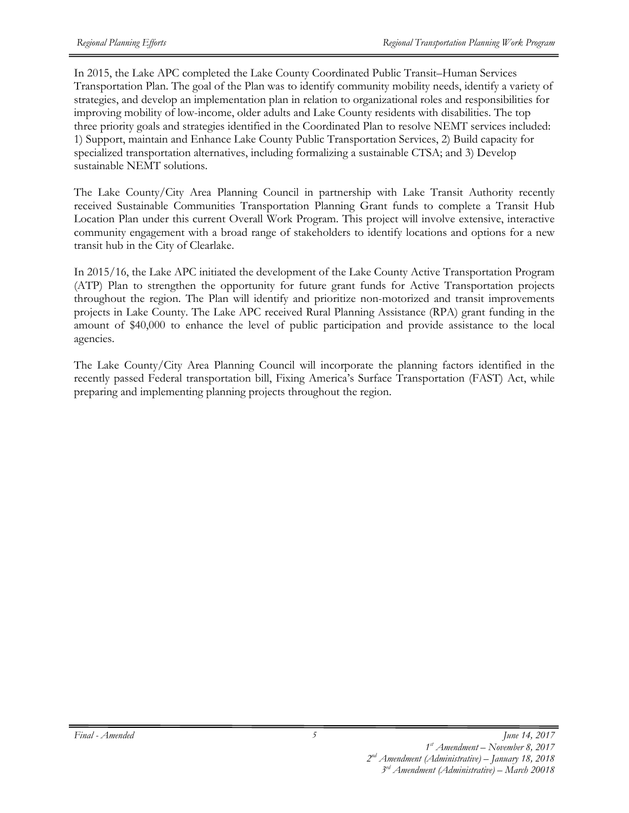In 2015, the Lake APC completed the Lake County Coordinated Public Transit–Human Services Transportation Plan. The goal of the Plan was to identify community mobility needs, identify a variety of strategies, and develop an implementation plan in relation to organizational roles and responsibilities for improving mobility of low-income, older adults and Lake County residents with disabilities. The top three priority goals and strategies identified in the Coordinated Plan to resolve NEMT services included: 1) Support, maintain and Enhance Lake County Public Transportation Services, 2) Build capacity for specialized transportation alternatives, including formalizing a sustainable CTSA; and 3) Develop sustainable NEMT solutions.

The Lake County/City Area Planning Council in partnership with Lake Transit Authority recently received Sustainable Communities Transportation Planning Grant funds to complete a Transit Hub Location Plan under this current Overall Work Program. This project will involve extensive, interactive community engagement with a broad range of stakeholders to identify locations and options for a new transit hub in the City of Clearlake.

In 2015/16, the Lake APC initiated the development of the Lake County Active Transportation Program (ATP) Plan to strengthen the opportunity for future grant funds for Active Transportation projects throughout the region. The Plan will identify and prioritize non-motorized and transit improvements projects in Lake County. The Lake APC received Rural Planning Assistance (RPA) grant funding in the amount of \$40,000 to enhance the level of public participation and provide assistance to the local agencies.

The Lake County/City Area Planning Council will incorporate the planning factors identified in the recently passed Federal transportation bill, Fixing America's Surface Transportation (FAST) Act, while preparing and implementing planning projects throughout the region.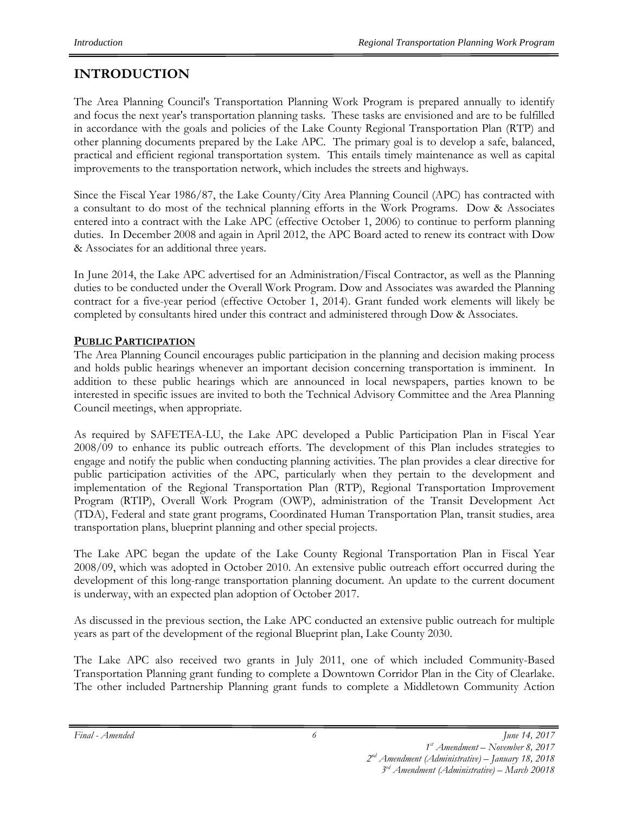## **INTRODUCTION**

The Area Planning Council's Transportation Planning Work Program is prepared annually to identify and focus the next year's transportation planning tasks. These tasks are envisioned and are to be fulfilled in accordance with the goals and policies of the Lake County Regional Transportation Plan (RTP) and other planning documents prepared by the Lake APC. The primary goal is to develop a safe, balanced, practical and efficient regional transportation system. This entails timely maintenance as well as capital improvements to the transportation network, which includes the streets and highways.

Since the Fiscal Year 1986/87, the Lake County/City Area Planning Council (APC) has contracted with a consultant to do most of the technical planning efforts in the Work Programs. Dow & Associates entered into a contract with the Lake APC (effective October 1, 2006) to continue to perform planning duties. In December 2008 and again in April 2012, the APC Board acted to renew its contract with Dow & Associates for an additional three years.

In June 2014, the Lake APC advertised for an Administration/Fiscal Contractor, as well as the Planning duties to be conducted under the Overall Work Program. Dow and Associates was awarded the Planning contract for a five-year period (effective October 1, 2014). Grant funded work elements will likely be completed by consultants hired under this contract and administered through Dow & Associates.

## **PUBLIC PARTICIPATION**

The Area Planning Council encourages public participation in the planning and decision making process and holds public hearings whenever an important decision concerning transportation is imminent. In addition to these public hearings which are announced in local newspapers, parties known to be interested in specific issues are invited to both the Technical Advisory Committee and the Area Planning Council meetings, when appropriate.

As required by SAFETEA-LU, the Lake APC developed a Public Participation Plan in Fiscal Year 2008/09 to enhance its public outreach efforts. The development of this Plan includes strategies to engage and notify the public when conducting planning activities. The plan provides a clear directive for public participation activities of the APC, particularly when they pertain to the development and implementation of the Regional Transportation Plan (RTP), Regional Transportation Improvement Program (RTIP), Overall Work Program (OWP), administration of the Transit Development Act (TDA), Federal and state grant programs, Coordinated Human Transportation Plan, transit studies, area transportation plans, blueprint planning and other special projects.

The Lake APC began the update of the Lake County Regional Transportation Plan in Fiscal Year 2008/09, which was adopted in October 2010. An extensive public outreach effort occurred during the development of this long-range transportation planning document. An update to the current document is underway, with an expected plan adoption of October 2017.

As discussed in the previous section, the Lake APC conducted an extensive public outreach for multiple years as part of the development of the regional Blueprint plan, Lake County 2030.

The Lake APC also received two grants in July 2011, one of which included Community-Based Transportation Planning grant funding to complete a Downtown Corridor Plan in the City of Clearlake. The other included Partnership Planning grant funds to complete a Middletown Community Action

*Final - Amended June 14, 2017* 

*<sup>3</sup>rd Amendment (Administrative) – March 20018*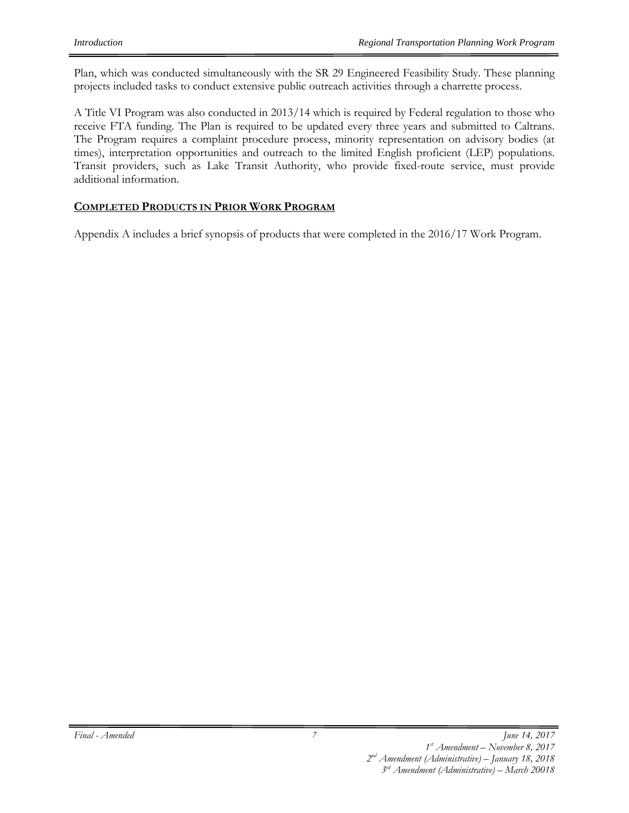Plan, which was conducted simultaneously with the SR 29 Engineered Feasibility Study. These planning projects included tasks to conduct extensive public outreach activities through a charrette process.

A Title VI Program was also conducted in 2013/14 which is required by Federal regulation to those who receive FTA funding. The Plan is required to be updated every three years and submitted to Caltrans. The Program requires a complaint procedure process, minority representation on advisory bodies (at times), interpretation opportunities and outreach to the limited English proficient (LEP) populations. Transit providers, such as Lake Transit Authority, who provide fixed-route service, must provide additional information.

#### **COMPLETED PRODUCTS IN PRIOR WORK PROGRAM**

Appendix A includes a brief synopsis of products that were completed in the 2016/17 Work Program.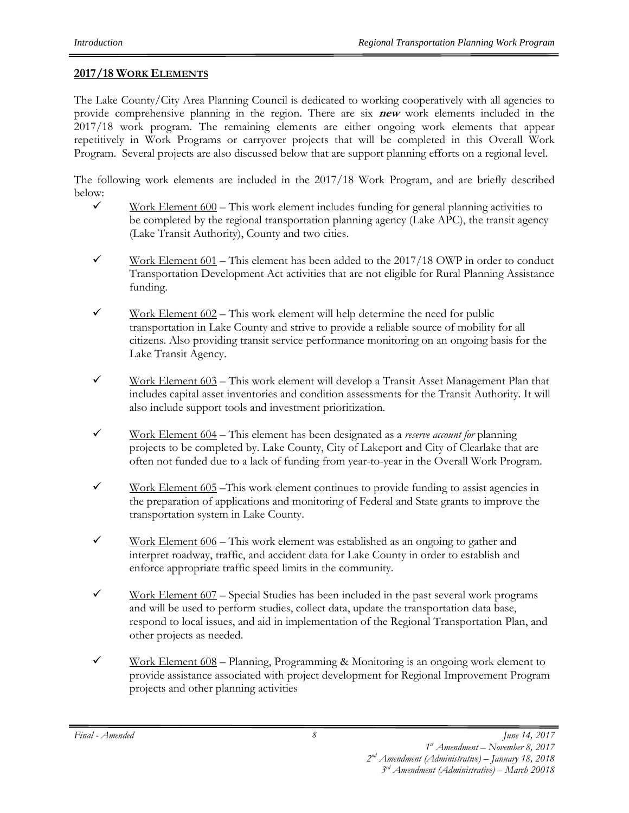#### **2017/18 WORK ELEMENTS**

The Lake County/City Area Planning Council is dedicated to working cooperatively with all agencies to provide comprehensive planning in the region. There are six **new** work elements included in the 2017/18 work program. The remaining elements are either ongoing work elements that appear repetitively in Work Programs or carryover projects that will be completed in this Overall Work Program. Several projects are also discussed below that are support planning efforts on a regional level.

The following work elements are included in the 2017/18 Work Program, and are briefly described below:

- $\checkmark$  Work Element 600 This work element includes funding for general planning activities to be completed by the regional transportation planning agency (Lake APC), the transit agency (Lake Transit Authority), County and two cities.
- $\checkmark$  Work Element 601 This element has been added to the 2017/18 OWP in order to conduct Transportation Development Act activities that are not eligible for Rural Planning Assistance funding.
- $\checkmark$  Work Element 602 This work element will help determine the need for public transportation in Lake County and strive to provide a reliable source of mobility for all citizens. Also providing transit service performance monitoring on an ongoing basis for the Lake Transit Agency.
- $\checkmark$  Work Element 603 This work element will develop a Transit Asset Management Plan that includes capital asset inventories and condition assessments for the Transit Authority. It will also include support tools and investment prioritization.
- 9 Work Element 604 This element has been designated as a *reserve account for* planning projects to be completed by. Lake County, City of Lakeport and City of Clearlake that are often not funded due to a lack of funding from year-to-year in the Overall Work Program.
- $\checkmark$  Work Element 605 –This work element continues to provide funding to assist agencies in the preparation of applications and monitoring of Federal and State grants to improve the transportation system in Lake County.
- $\checkmark$  Work Element 606 This work element was established as an ongoing to gather and interpret roadway, traffic, and accident data for Lake County in order to establish and enforce appropriate traffic speed limits in the community.
- $\checkmark$  Work Element 607 Special Studies has been included in the past several work programs and will be used to perform studies, collect data, update the transportation data base, respond to local issues, and aid in implementation of the Regional Transportation Plan, and other projects as needed.
- $\checkmark$  Work Element 608 Planning, Programming & Monitoring is an ongoing work element to provide assistance associated with project development for Regional Improvement Program projects and other planning activities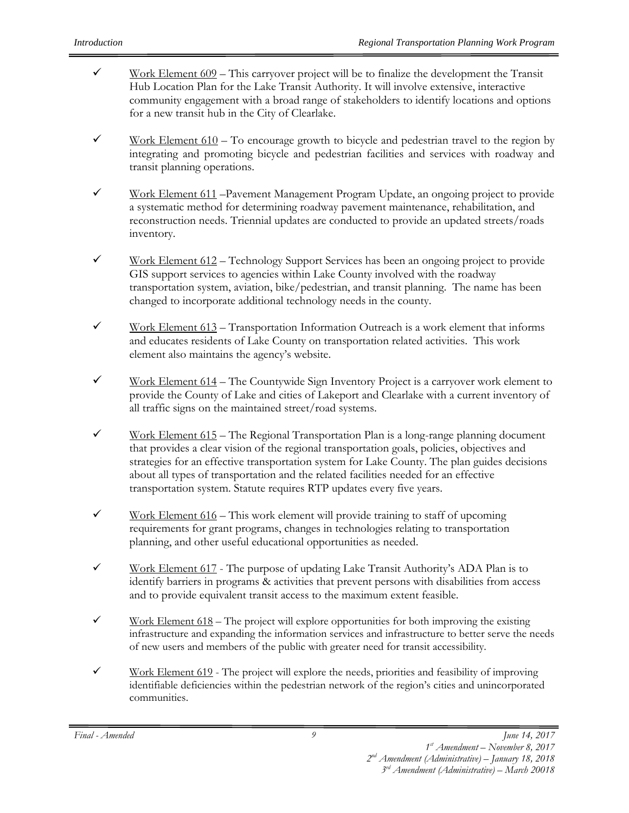- $\checkmark$  Work Element 609 This carryover project will be to finalize the development the Transit Hub Location Plan for the Lake Transit Authority. It will involve extensive, interactive community engagement with a broad range of stakeholders to identify locations and options for a new transit hub in the City of Clearlake.
- $\checkmark$  Work Element 610 To encourage growth to bicycle and pedestrian travel to the region by integrating and promoting bicycle and pedestrian facilities and services with roadway and transit planning operations.
- $\checkmark$  Work Element 611 –Pavement Management Program Update, an ongoing project to provide a systematic method for determining roadway pavement maintenance, rehabilitation, and reconstruction needs. Triennial updates are conducted to provide an updated streets/roads inventory.
- $\checkmark$  Work Element 612 Technology Support Services has been an ongoing project to provide GIS support services to agencies within Lake County involved with the roadway transportation system, aviation, bike/pedestrian, and transit planning. The name has been changed to incorporate additional technology needs in the county.
- $\checkmark$  Work Element 613 Transportation Information Outreach is a work element that informs and educates residents of Lake County on transportation related activities. This work element also maintains the agency's website.
- $\checkmark$  Work Element 614 The Countywide Sign Inventory Project is a carryover work element to provide the County of Lake and cities of Lakeport and Clearlake with a current inventory of all traffic signs on the maintained street/road systems.
- $\checkmark$  Work Element 615 The Regional Transportation Plan is a long-range planning document that provides a clear vision of the regional transportation goals, policies, objectives and strategies for an effective transportation system for Lake County. The plan guides decisions about all types of transportation and the related facilities needed for an effective transportation system. Statute requires RTP updates every five years.
- $\checkmark$  Work Element 616 This work element will provide training to staff of upcoming requirements for grant programs, changes in technologies relating to transportation planning, and other useful educational opportunities as needed.
- $\checkmark$  Work Element 617 The purpose of updating Lake Transit Authority's ADA Plan is to identify barriers in programs & activities that prevent persons with disabilities from access and to provide equivalent transit access to the maximum extent feasible.
- $\checkmark$  Work Element 618 The project will explore opportunities for both improving the existing infrastructure and expanding the information services and infrastructure to better serve the needs of new users and members of the public with greater need for transit accessibility.
- $\checkmark$  Work Element 619 The project will explore the needs, priorities and feasibility of improving identifiable deficiencies within the pedestrian network of the region's cities and unincorporated communities.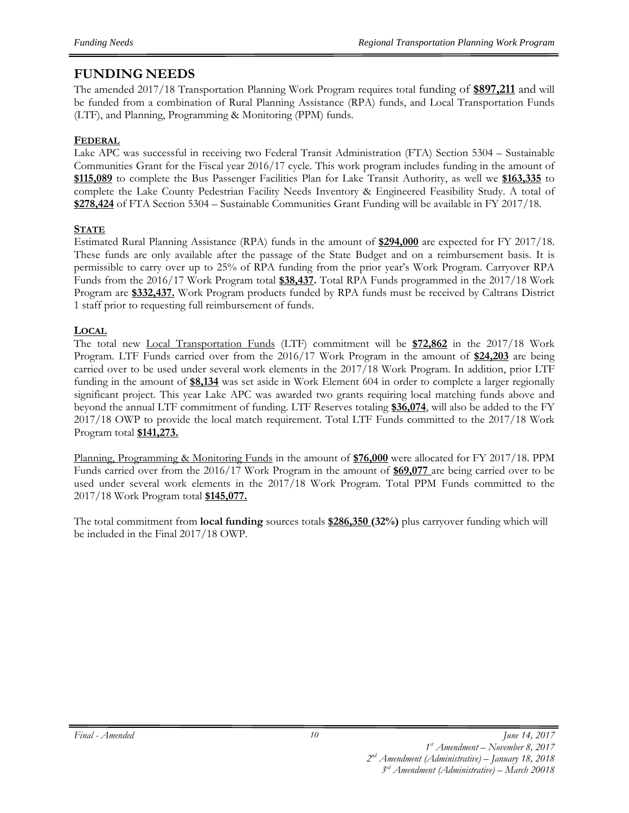### **FUNDING NEEDS**

The amended 2017/18 Transportation Planning Work Program requires total funding of **\$897,211** and will be funded from a combination of Rural Planning Assistance (RPA) funds, and Local Transportation Funds (LTF), and Planning, Programming & Monitoring (PPM) funds.

#### **FEDERAL**

Lake APC was successful in receiving two Federal Transit Administration (FTA) Section 5304 – Sustainable Communities Grant for the Fiscal year 2016/17 cycle. This work program includes funding in the amount of **\$115,089** to complete the Bus Passenger Facilities Plan for Lake Transit Authority, as well we **\$163,335** to complete the Lake County Pedestrian Facility Needs Inventory & Engineered Feasibility Study. A total of **\$278,424** of FTA Section 5304 – Sustainable Communities Grant Funding will be available in FY 2017/18.

#### **STATE**

Estimated Rural Planning Assistance (RPA) funds in the amount of **\$294,000** are expected for FY 2017/18. These funds are only available after the passage of the State Budget and on a reimbursement basis. It is permissible to carry over up to 25% of RPA funding from the prior year's Work Program. Carryover RPA Funds from the 2016/17 Work Program total **\$38,437.** Total RPA Funds programmed in the 2017/18 Work Program are **\$332,437.** Work Program products funded by RPA funds must be received by Caltrans District 1 staff prior to requesting full reimbursement of funds.

#### **LOCAL**

The total new Local Transportation Funds (LTF) commitment will be **\$72,862** in the 2017/18 Work Program. LTF Funds carried over from the 2016/17 Work Program in the amount of **\$24,203** are being carried over to be used under several work elements in the 2017/18 Work Program. In addition, prior LTF funding in the amount of **\$8,134** was set aside in Work Element 604 in order to complete a larger regionally significant project. This year Lake APC was awarded two grants requiring local matching funds above and beyond the annual LTF commitment of funding. LTF Reserves totaling **\$36,074**, will also be added to the FY 2017/18 OWP to provide the local match requirement. Total LTF Funds committed to the 2017/18 Work Program total **\$141,273.**

Planning, Programming & Monitoring Funds in the amount of **\$76,000** were allocated for FY 2017/18. PPM Funds carried over from the 2016/17 Work Program in the amount of **\$69,077** are being carried over to be used under several work elements in the 2017/18 Work Program. Total PPM Funds committed to the 2017/18 Work Program total **\$145,077.** 

The total commitment from **local funding** sources totals **\$286,350 (32%)** plus carryover funding which will be included in the Final 2017/18 OWP.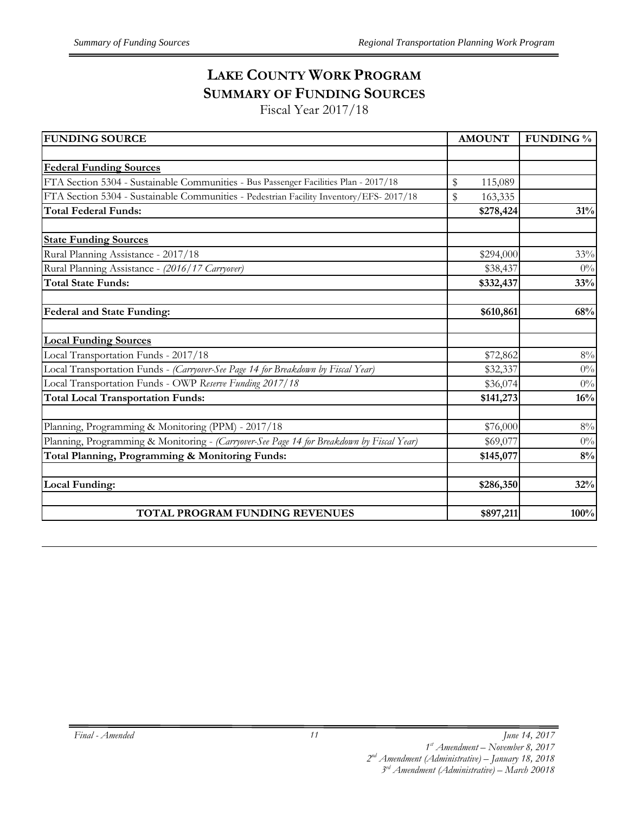## **LAKE COUNTY WORK PROGRAM SUMMARY OF FUNDING SOURCES**

Fiscal Year 2017/18

| <b>FUNDING SOURCE</b>                                                                     | <b>AMOUNT</b> | <b>FUNDING %</b> |  |  |
|-------------------------------------------------------------------------------------------|---------------|------------------|--|--|
|                                                                                           |               |                  |  |  |
| <b>Federal Funding Sources</b>                                                            |               |                  |  |  |
| FTA Section 5304 - Sustainable Communities - Bus Passenger Facilities Plan - 2017/18      | \$<br>115,089 |                  |  |  |
| FTA Section 5304 - Sustainable Communities - Pedestrian Facility Inventory/EFS- 2017/18   | \$<br>163,335 |                  |  |  |
| <b>Total Federal Funds:</b>                                                               | \$278,424     | 31%              |  |  |
| <b>State Funding Sources</b>                                                              |               |                  |  |  |
| Rural Planning Assistance - 2017/18                                                       | \$294,000     | 33%              |  |  |
| Rural Planning Assistance - (2016/17 Carryover)                                           | \$38,437      | 0%               |  |  |
| <b>Total State Funds:</b>                                                                 | \$332,437     | 33%              |  |  |
| Federal and State Funding:                                                                | \$610,861     | 68%              |  |  |
| <b>Local Funding Sources</b>                                                              |               |                  |  |  |
| Local Transportation Funds - 2017/18                                                      | \$72,862      | $8\%$            |  |  |
| Local Transportation Funds - (Carryover-See Page 14 for Breakdown by Fiscal Year)         | \$32,337      | $0\%$            |  |  |
| Local Transportation Funds - OWP Reserve Funding 2017/18                                  | \$36,074      | $0\%$            |  |  |
| <b>Total Local Transportation Funds:</b>                                                  | \$141,273     | 16%              |  |  |
| Planning, Programming & Monitoring (PPM) - 2017/18                                        | \$76,000      | $8\%$            |  |  |
| Planning, Programming & Monitoring - (Carryover-See Page 14 for Breakdown by Fiscal Year) | \$69,077      | $0\%$            |  |  |
| Total Planning, Programming & Monitoring Funds:                                           | \$145,077     | 8%               |  |  |
| <b>Local Funding:</b>                                                                     | \$286,350     | 32%              |  |  |
| TOTAL PROGRAM FUNDING REVENUES                                                            | \$897,211     | 100%             |  |  |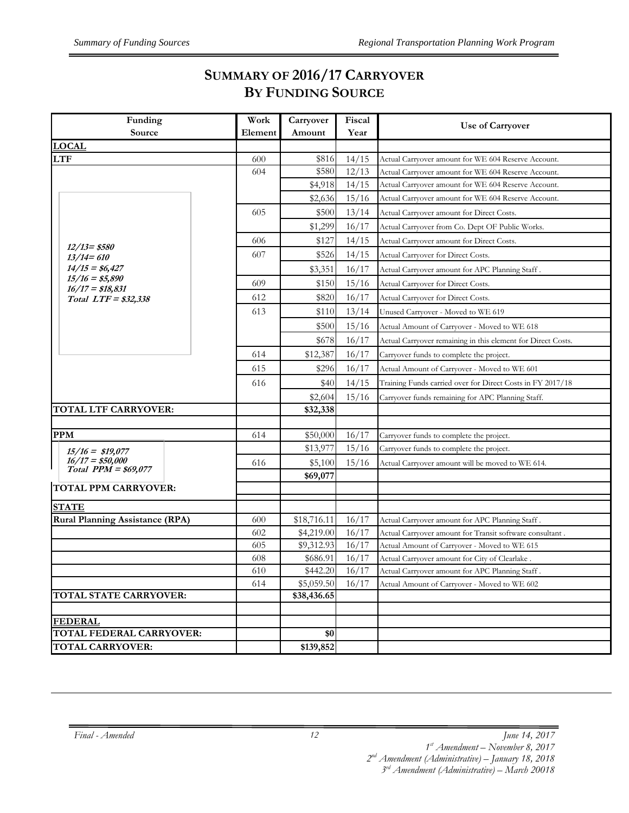## **SUMMARY OF 2016/17 CARRYOVER BY FUNDING SOURCE**

| Funding<br>Source                          | Work<br>Element | Carryover<br>Amount | Fiscal<br>Year | Use of Carryover                                             |
|--------------------------------------------|-----------------|---------------------|----------------|--------------------------------------------------------------|
| <b>LOCAL</b>                               |                 |                     |                |                                                              |
| <b>LTF</b>                                 | 600             | \$816               | 14/15          | Actual Carryover amount for WE 604 Reserve Account.          |
|                                            | 604             | \$580               | 12/13          | Actual Carryover amount for WE 604 Reserve Account.          |
|                                            |                 | \$4,918             | 14/15          | Actual Carryover amount for WE 604 Reserve Account.          |
|                                            |                 | \$2,636             | 15/16          | Actual Carryover amount for WE 604 Reserve Account.          |
|                                            | 605             | \$500               | 13/14          | Actual Carryover amount for Direct Costs.                    |
|                                            |                 | \$1,299             | 16/17          | Actual Carryover from Co. Dept OF Public Works.              |
|                                            | 606             | \$127               | 14/15          | Actual Carryover amount for Direct Costs.                    |
| $12/13 = $580$<br>$13/14 = 610$            | 607             | \$526               | 14/15          | <b>Actual Carryover for Direct Costs.</b>                    |
| $14/15 = $6,427$                           |                 | \$3,351             | 16/17          | Actual Carryover amount for APC Planning Staff.              |
| $15/16 = $5,890$                           | 609             | \$150               | 15/16          | <b>Actual Carryover for Direct Costs.</b>                    |
| $16/17 = $18,831$<br>Total LTF = \$32,338  | 612             | \$820               | 16/17          | Actual Carryover for Direct Costs.                           |
|                                            | 613             | \$110               | 13/14          | Unused Carryover - Moved to WE 619                           |
|                                            |                 | \$500               | 15/16          | Actual Amount of Carryover - Moved to WE 618                 |
|                                            |                 | \$678               | 16/17          | Actual Carryover remaining in this element for Direct Costs. |
|                                            | 614             | \$12,387            | 16/17          | Carryover funds to complete the project.                     |
|                                            | 615             | \$296               | 16/17          | Actual Amount of Carryover - Moved to WE 601                 |
|                                            | 616             | \$40                | 14/15          | Training Funds carried over for Direct Costs in FY 2017/18   |
|                                            |                 | \$2,604             | 15/16          | Carryover funds remaining for APC Planning Staff.            |
| TOTAL LTF CARRYOVER:                       |                 | \$32,338            |                |                                                              |
|                                            |                 |                     |                |                                                              |
| <b>PPM</b>                                 | 614             | \$50,000            | 16/17          | Carryover funds to complete the project.                     |
| $15/16 = $19,077$                          |                 | \$13,977            | 15/16          | Carryover funds to complete the project.                     |
| $16/17 = $50,000$<br>Total $PPM = $69,077$ | 616             | \$5,100             | 15/16          | Actual Carryover amount will be moved to WE 614.             |
|                                            |                 | \$69,077            |                |                                                              |
| <b>TOTAL PPM CARRYOVER:</b>                |                 |                     |                |                                                              |
| <b>STATE</b>                               |                 |                     |                |                                                              |
| <b>Rural Planning Assistance (RPA)</b>     | 600             | \$18,716.11         | 16/17          | Actual Carryover amount for APC Planning Staff.              |
|                                            | 602             | \$4,219.00          | 16/17          | Actual Carryover amount for Transit software consultant.     |
|                                            | 605             | \$9,312.93          | 16/17          | Actual Amount of Carryover - Moved to WE 615                 |
|                                            | 608             | \$686.91            | 16/17          | Actual Carryover amount for City of Clearlake.               |
|                                            | 610             | \$442.20            | 16/17          | Actual Carryover amount for APC Planning Staff.              |
|                                            | 614             | \$5,059.50          | 16/17          | Actual Amount of Carryover - Moved to WE 602                 |
| <b>TOTAL STATE CARRYOVER:</b>              |                 | \$38,436.65         |                |                                                              |
| <b>FEDERAL</b>                             |                 |                     |                |                                                              |
| TOTAL FEDERAL CARRYOVER:                   |                 | \$0                 |                |                                                              |
| <b>TOTAL CARRYOVER:</b>                    |                 | \$139,852           |                |                                                              |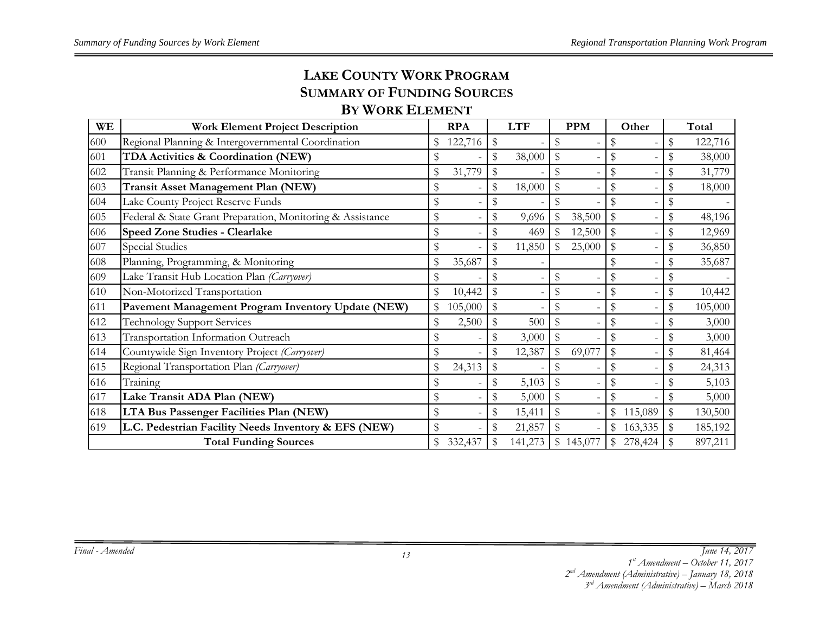## **LAKE COUNTY WORK PROGRAMSUMMARY OF FUNDING SOURCES**

#### **BY WORK ELEMENT**

| <b>WE</b> | <b>Work Element Project Description</b>                    | <b>RPA</b>    | <b>LTF</b>   |                           | <b>PPM</b> |              | Other                    |              | Total   |
|-----------|------------------------------------------------------------|---------------|--------------|---------------------------|------------|--------------|--------------------------|--------------|---------|
| 600       | Regional Planning & Intergovernmental Coordination         | 122,716       | \$           | \$                        |            |              |                          | \$           | 122,716 |
| 601       | TDA Activities & Coordination (NEW)                        | \$            | \$<br>38,000 | \$                        |            |              |                          | \$           | 38,000  |
| 602       | Transit Planning & Performance Monitoring                  | \$<br>31,779  | \$           | \$                        |            |              |                          | \$           | 31,779  |
| 603       | Transit Asset Management Plan (NEW)                        | \$            | \$<br>18,000 | \$                        |            |              |                          | \$           | 18,000  |
| 604       | Lake County Project Reserve Funds                          | \$            |              | \$                        |            |              |                          | \$           |         |
| 605       | Federal & State Grant Preparation, Monitoring & Assistance | \$            | \$<br>9,696  | $\mathbb S$               | 38,500     |              |                          | \$           | 48,196  |
| 606       | Speed Zone Studies - Clearlake                             | \$            | 469          | \$                        | 12,500     | $\mathbb{S}$ |                          | \$           | 12,969  |
| 607       | Special Studies                                            | \$            | \$<br>11,850 | \$                        | 25,000     |              |                          | \$           | 36,850  |
| 608       | Planning, Programming, & Monitoring                        | \$<br>35,687  |              |                           |            |              |                          |              | 35,687  |
| 609       | Lake Transit Hub Location Plan (Carryover)                 | \$            |              | \$                        |            |              |                          | \$           |         |
| 610       | Non-Motorized Transportation                               | \$<br>10,442  |              | \$                        |            |              |                          | \$           | 10,442  |
| 611       | Pavement Management Program Inventory Update (NEW)         | \$<br>105,000 | \$           | $\boldsymbol{\mathsf{S}}$ |            |              |                          | \$           | 105,000 |
| 612       | <b>Technology Support Services</b>                         | \$<br>2,500   | 500          | \$                        |            |              |                          | \$           | 3,000   |
| 613       | Transportation Information Outreach                        | \$            | 3,000        | ${\mathbb S}$             |            |              | $\overline{\phantom{a}}$ | \$           | 3,000   |
| 614       | Countywide Sign Inventory Project (Carryover)              | \$            | \$<br>12,387 | \$                        | 69,077     |              |                          |              | 81,464  |
| 615       | Regional Transportation Plan (Carryover)                   | \$<br>24,313  |              | \$                        |            | \$           |                          | \$           | 24,313  |
| 616       | Training                                                   | \$            | \$<br>5,103  | $\mathbb{S}$              |            |              |                          | \$           | 5,103   |
| 617       | Lake Transit ADA Plan (NEW)                                | \$            | 5,000        | $\mathbb{S}$              |            |              |                          |              | 5,000   |
| 618       | LTA Bus Passenger Facilities Plan (NEW)                    | \$            | \$<br>15,411 | $\$\,$                    |            | \$           | 115,089                  | $\mathbb{S}$ | 130,500 |
| 619       | L.C. Pedestrian Facility Needs Inventory & EFS (NEW)       | \$            | \$<br>21,857 | $\$\,$                    |            | \$           | 163,335                  | $\mathbb{S}$ | 185,192 |
|           | <b>Total Funding Sources</b>                               | \$<br>332,437 | 141,273      |                           | \$145,077  | \$           | 278,424                  |              | 897,211 |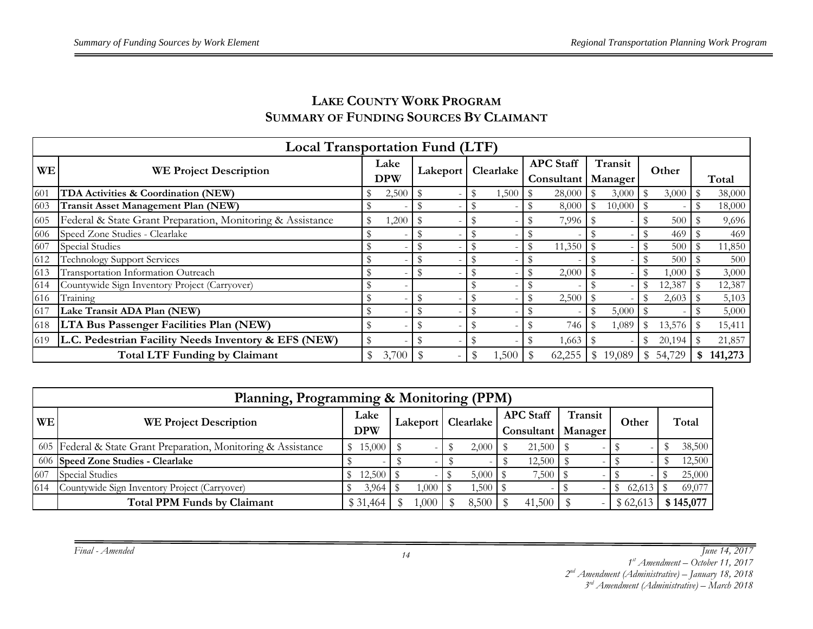|           | <b>Local Transportation Fund (LTF)</b>                     |                    |       |             |           |                  |        |              |         |              |        |       |         |  |
|-----------|------------------------------------------------------------|--------------------|-------|-------------|-----------|------------------|--------|--------------|---------|--------------|--------|-------|---------|--|
| <b>WE</b> | <b>WE Project Description</b>                              | Lake<br><b>DPW</b> |       | Lakeport    | Clearlake | <b>APC</b> Staff |        |              | Transit | Other        |        |       |         |  |
|           |                                                            |                    |       |             |           | Consultant       |        | Manager      |         |              |        | Total |         |  |
| 601       | TDA Activities & Coordination (NEW)                        |                    | 2,500 | \$          | 1,500     |                  | 28,000 |              | 3,000   |              | 3,000  |       | 38,000  |  |
| 603       | <b>Transit Asset Management Plan (NEW)</b>                 |                    |       | \$          |           |                  | 8,000  |              | 10,000  |              |        |       | 18,000  |  |
| 605       | Federal & State Grant Preparation, Monitoring & Assistance |                    | 1,200 |             |           |                  | 7,996  |              |         |              | 500    |       | 9,696   |  |
| 606       | Speed Zone Studies - Clearlake                             |                    |       |             |           |                  |        |              |         |              | 469    |       | 469     |  |
| 607       | Special Studies                                            |                    |       |             |           |                  | 11,350 |              |         |              | 500    |       | 11,850  |  |
| 612       | Technology Support Services                                |                    |       |             |           |                  |        |              |         |              | 500    |       | 500     |  |
| 613       | Transportation Information Outreach                        |                    |       | $\mathbb S$ |           |                  | 2,000  |              |         |              | 1,000  |       | 3,000   |  |
| 614       | Countywide Sign Inventory Project (Carryover)              |                    |       |             |           |                  |        |              |         |              | 12,387 |       | 12,387  |  |
| 616       | Training                                                   |                    |       | \$          |           |                  | 2,500  |              |         |              | 2,603  |       | 5,103   |  |
| 617       | Lake Transit ADA Plan (NEW)                                | D                  |       | \$          | \$        |                  |        |              | 5,000   |              |        |       | 5,000   |  |
| 618       | <b>LTA Bus Passenger Facilities Plan (NEW)</b>             |                    |       | \$          |           |                  | 746    |              | 1,089   |              | 13,576 |       | 15,411  |  |
| 619-      | L.C. Pedestrian Facility Needs Inventory & EFS (NEW)       |                    |       |             |           |                  | 1,663  |              |         |              | 20,194 |       | 21,857  |  |
|           | <b>Total LTF Funding by Claimant</b>                       | \$                 | 3,700 | \$          | 1,500     |                  | 62,255 | $\mathbb{S}$ | 19,089  | $\mathbb{S}$ | 54,729 | \$.   | 141,273 |  |

#### **LAKE COUNTY WORK PROGRAMSUMMARY OF FUNDING SOURCES BY CLAIMANT**

| Planning, Programming & Monitoring (PPM) |                                                                |                    |  |          |  |       |  |             |  |         |  |           |  |  |                      |  |                                                 |  |         |       |  |       |
|------------------------------------------|----------------------------------------------------------------|--------------------|--|----------|--|-------|--|-------------|--|---------|--|-----------|--|--|----------------------|--|-------------------------------------------------|--|---------|-------|--|-------|
| <b>WE</b>                                | <b>WE Project Description</b>                                  | Lake<br><b>DPW</b> |  |          |  |       |  |             |  |         |  |           |  |  | Lakeport   Clearlake |  | <b>APC Staff</b><br><b>Consultant</b>   Manager |  | Transit | Other |  | Total |
|                                          | 605 Federal & State Grant Preparation, Monitoring & Assistance | \$15,000           |  |          |  | 2,000 |  | $21,500$ \$ |  |         |  | 38,500    |  |  |                      |  |                                                 |  |         |       |  |       |
|                                          | 606 Speed Zone Studies - Clearlake                             |                    |  |          |  |       |  |             |  |         |  | 12,500    |  |  |                      |  |                                                 |  |         |       |  |       |
| 607                                      | <b>Special Studies</b>                                         | 12,500             |  |          |  | 5,000 |  |             |  |         |  | 25,000    |  |  |                      |  |                                                 |  |         |       |  |       |
| 614                                      | Countywide Sign Inventory Project (Carryover)                  | 3,964              |  |          |  | .500  |  |             |  | 62,613  |  | 69,077    |  |  |                      |  |                                                 |  |         |       |  |       |
|                                          | <b>Total PPM Funds by Claimant</b>                             | \$ 31,464          |  | $.000 -$ |  | 8,500 |  |             |  | \$62,61 |  | \$145,077 |  |  |                      |  |                                                 |  |         |       |  |       |

*Final - Amended*

*June 14, 2017* 

*1st Amendment – October 11, 2017* 

*2nd Amendment (Administrative) – January 18, 2018 3rd Amendment (Administrative) – March 2018*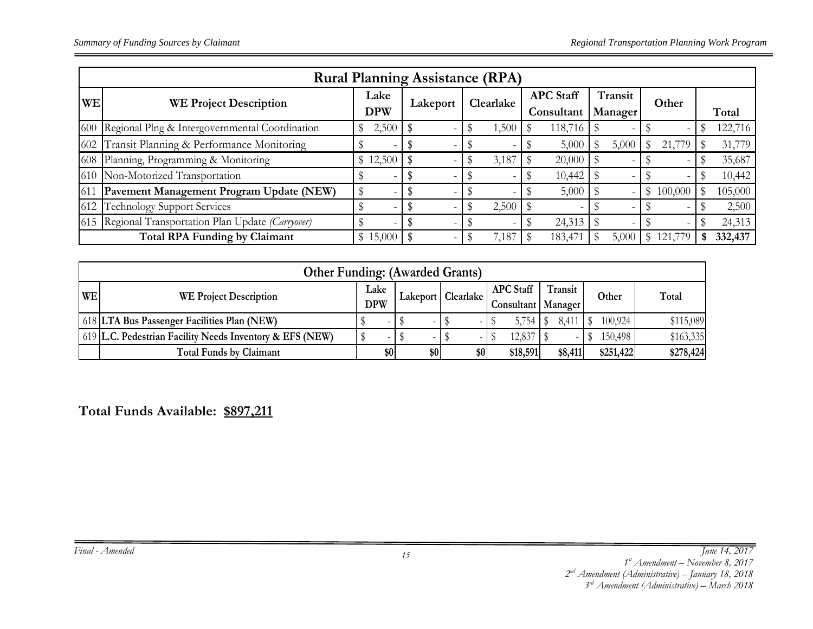|           | <b>Rural Planning Assistance (RPA)</b>          |                    |          |             |                                |                    |           |   |         |  |  |  |  |
|-----------|-------------------------------------------------|--------------------|----------|-------------|--------------------------------|--------------------|-----------|---|---------|--|--|--|--|
| <b>WE</b> | <b>WE Project Description</b>                   | Lake<br><b>DPW</b> | Lakeport | Clearlake   | <b>APC</b> Staff<br>Consultant | Transit<br>Manager | Other     |   | Total   |  |  |  |  |
| 600       | Regional Plng & Intergovernmental Coordination  | 2,500<br>\$        |          | 1,500<br>\$ | 118,716                        | S                  |           | S | 122,716 |  |  |  |  |
| 602       | Transit Planning & Performance Monitoring       |                    |          |             | 5,000                          | 5,000<br>\$        | 21,779    |   | 31,779  |  |  |  |  |
| 608       | Planning, Programming & Monitoring              | \$12,500           |          | 3,187       | 20,000                         |                    |           |   | 35,687  |  |  |  |  |
| 610       | Non-Motorized Transportation                    |                    |          |             | 10,442                         |                    |           |   | 10,442  |  |  |  |  |
| 611       | Pavement Management Program Update (NEW)        | S                  |          |             | 5,000                          |                    | \$100,000 |   | 105,000 |  |  |  |  |
| 612       | <b>Technology Support Services</b>              |                    |          | 2,500       |                                |                    | -         |   | 2,500   |  |  |  |  |
| 615       | Regional Transportation Plan Update (Carryover) |                    |          |             | 24,313                         |                    |           |   | 24,313  |  |  |  |  |
|           | <b>Total RPA Funding by Claimant</b>            | \$15,000           |          | 7,187       | 183,47                         | 5,000              | 121,7     |   | 332,437 |  |  |  |  |

|           | <b>Other Funding: (Awarded Grants)</b>                   |            |     |  |                      |  |     |                      |         |  |           |           |  |
|-----------|----------------------------------------------------------|------------|-----|--|----------------------|--|-----|----------------------|---------|--|-----------|-----------|--|
| <b>WE</b> | <b>WE Project Description</b>                            | Lake       |     |  | Lakeport   Clearlake |  |     | <b>APC</b> Staff     | Transit |  | Other     | Total     |  |
|           |                                                          | <b>DPW</b> |     |  |                      |  |     | Consultant   Manager |         |  |           |           |  |
|           | 618 LTA Bus Passenger Facilities Plan (NEW)              |            |     |  |                      |  |     | 5,754                | 8.41    |  | 100,924   | \$115,089 |  |
|           | 619 L.C. Pedestrian Facility Needs Inventory & EFS (NEW) |            |     |  |                      |  |     | 12,837               |         |  | 150,498   | \$163,335 |  |
|           | <b>Total Funds by Claimant</b>                           |            | \$0 |  | \$0                  |  | \$0 | \$18,591             | \$8,411 |  | \$251,422 | \$278,424 |  |

**Total Funds Available: \$897,211**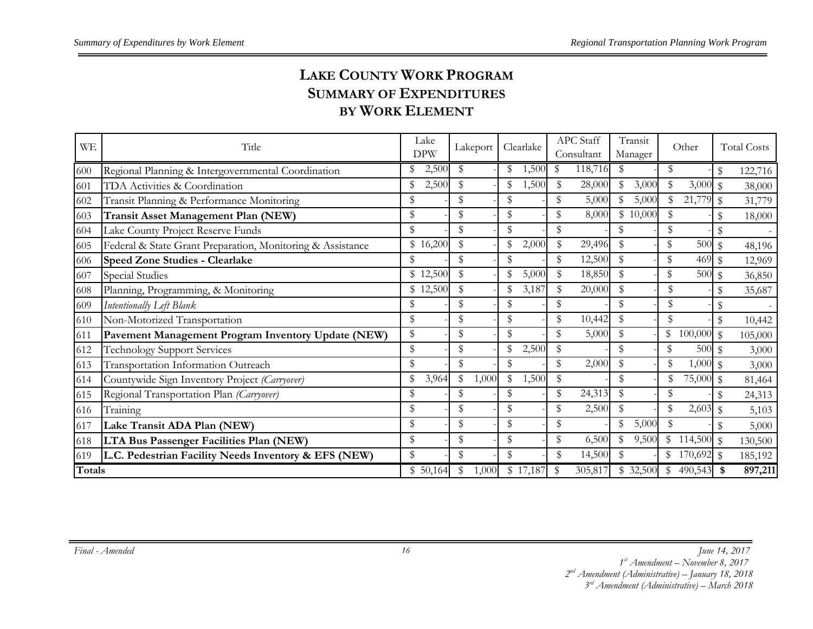## **LAKE COUNTY WORK PROGRAMSUMMARY OF EXPENDITURESBY WORK ELEMENT**

| <b>WE</b>     | Title                                                      | Lake<br><b>DPW</b> | Lakeport                                | Clearlake              | APC Staff<br>Consultant | Transit<br>Manager | Other                      | <b>Total Costs</b>       |
|---------------|------------------------------------------------------------|--------------------|-----------------------------------------|------------------------|-------------------------|--------------------|----------------------------|--------------------------|
| 600           | Regional Planning & Intergovernmental Coordination         | 2,500<br>\$        | \$                                      | ,500<br>\$             | 118,716<br>S            | S                  | \$                         | \$<br>122,716            |
| 601           | TDA Activities & Coordination                              | 2,500<br>\$        | \$                                      | \$<br>1,500            | 28,000<br>\$            | \$<br>3,000        | \$<br>3,000                | $\mathcal{S}$<br>38,000  |
| 602           | Transit Planning & Performance Monitoring                  | \$                 | \$                                      | \$                     | \$<br>5,000             | \$<br>5,000        | \$<br>21,779               | $\mathbf{\$}$<br>31,779  |
| 603           | <b>Transit Asset Management Plan (NEW)</b>                 | \$                 | \$                                      | \$                     | \$<br>8,000             | \$10,000           | \$                         | $\mathcal{S}$<br>18,000  |
| 604           | Lake County Project Reserve Funds                          | \$                 | \$                                      | \$                     | \$                      | \$                 | \$                         |                          |
| 605           | Federal & State Grant Preparation, Monitoring & Assistance | \$16,200           | \$                                      | $\mathbf{\$}$<br>2,000 | $\mathbb S$<br>29,496   | \$                 | \$<br>500                  | \$<br>48,196             |
| 606           | <b>Speed Zone Studies - Clearlake</b>                      |                    | \$                                      | \$                     | 12,500<br>\$            | $\mathcal{S}$      | \$<br>469                  | $\mathcal{S}$<br>12,969  |
| 607           | <b>Special Studies</b>                                     | \$12,500           | \$                                      | 5,000                  | \$<br>18,850            | \$                 | \$<br>500                  | $\mathcal{S}$<br>36,850  |
| 608           | Planning, Programming, & Monitoring                        | \$12,500           | \$                                      | \$<br>3,187            | 20,000                  | \$                 | \$                         | 35,687                   |
| 609           | Intentionally Left Blank                                   | \$                 | \$                                      | \$                     | \$                      | \$                 | \$                         |                          |
| 610           | Non-Motorized Transportation                               | \$                 | \$                                      | \$                     | \$<br>10,442            | \$                 | \$                         | $\mathcal{S}$<br>10,442  |
| 611           | Pavement Management Program Inventory Update (NEW)         | \$                 | \$                                      | \$                     | \$<br>5,000             | \$                 | \$<br>100,000              | $\mathcal{R}$<br>105,000 |
| 612           | <b>Technology Support Services</b>                         | \$                 | \$                                      | \$<br>2,500            | $\mathbb{S}$            | \$                 | 500<br>\$                  | $\mathcal{S}$<br>3,000   |
| 613           | Transportation Information Outreach                        | \$                 | \$                                      | \$                     | \$<br>2,000             | \$                 | \$<br>$1,000$ \$           | 3,000                    |
| 614           | Countywide Sign Inventory Project (Carryover)              | \$<br>3,964        | $\textcircled{\scriptsize{s}}$<br>1,000 | \$<br>1,500            | \$                      | \$                 | 75,000<br>\$               | $\mathcal{S}$<br>81,464  |
| 615           | Regional Transportation Plan (Carryover)                   | \$                 | \$                                      | \$                     | 24,313<br>\$            | \$                 | \$                         | 24,313                   |
| 616           | Training                                                   | \$                 | $\mathbb{S}$                            | \$                     | \$<br>2,500             | $\mathcal{S}$      | $\mathbb{S}$<br>2,603      | 5,103                    |
| 617           | Lake Transit ADA Plan (NEW)                                | \$                 | \$                                      | \$                     | \$                      | \$<br>5,000        | \$                         | 5,000                    |
| 618           | LTA Bus Passenger Facilities Plan (NEW)                    | \$                 | \$                                      | \$                     | \$<br>6,500             | \$<br>9,500        | \$<br>114,500              | $\mathcal{L}$<br>130,500 |
| 619           | L.C. Pedestrian Facility Needs Inventory & EFS (NEW)       | \$                 | \$                                      | \$                     | \$<br>14,500            | \$                 | $^{\circ}$<br>$170,692$ \$ | 185,192                  |
| <b>Totals</b> |                                                            | \$50,164           | \$<br>1,000                             | \$17,187               | 305,817<br>\$           | \$32,500           | 490,543 \$<br>\$           | 897,211                  |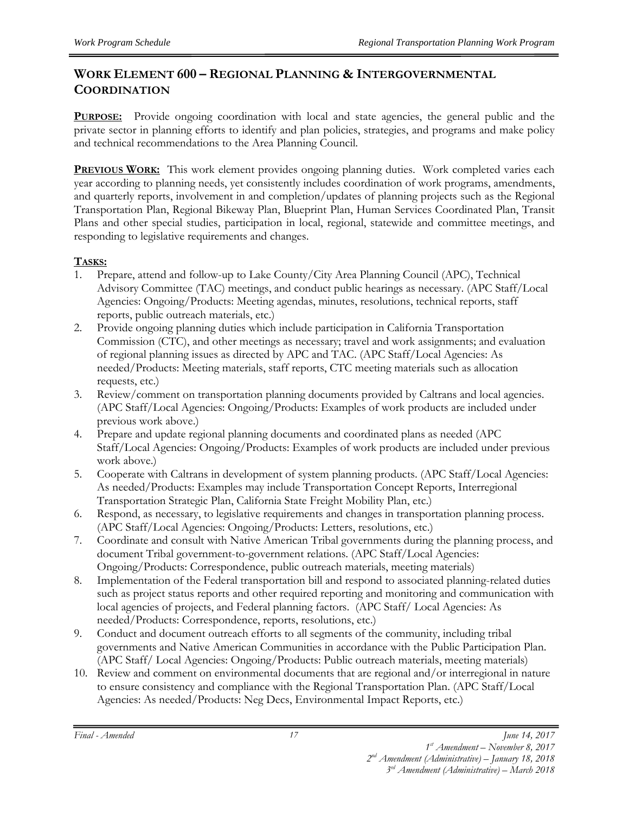#### **WORK ELEMENT 600 – REGIONAL PLANNING & INTERGOVERNMENTAL COORDINATION**

**PURPOSE:** Provide ongoing coordination with local and state agencies, the general public and the private sector in planning efforts to identify and plan policies, strategies, and programs and make policy and technical recommendations to the Area Planning Council.

**PREVIOUS WORK:** This work element provides ongoing planning duties. Work completed varies each year according to planning needs, yet consistently includes coordination of work programs, amendments, and quarterly reports, involvement in and completion/updates of planning projects such as the Regional Transportation Plan, Regional Bikeway Plan, Blueprint Plan, Human Services Coordinated Plan, Transit Plans and other special studies, participation in local, regional, statewide and committee meetings, and responding to legislative requirements and changes.

#### **TASKS:**

- 1. Prepare, attend and follow-up to Lake County/City Area Planning Council (APC), Technical Advisory Committee (TAC) meetings, and conduct public hearings as necessary. (APC Staff/Local Agencies: Ongoing/Products: Meeting agendas, minutes, resolutions, technical reports, staff reports, public outreach materials, etc.)
- 2. Provide ongoing planning duties which include participation in California Transportation Commission (CTC), and other meetings as necessary; travel and work assignments; and evaluation of regional planning issues as directed by APC and TAC. (APC Staff/Local Agencies: As needed/Products: Meeting materials, staff reports, CTC meeting materials such as allocation requests, etc.)
- 3. Review/comment on transportation planning documents provided by Caltrans and local agencies. (APC Staff/Local Agencies: Ongoing/Products: Examples of work products are included under previous work above.)
- 4. Prepare and update regional planning documents and coordinated plans as needed (APC Staff/Local Agencies: Ongoing/Products: Examples of work products are included under previous work above.)
- 5. Cooperate with Caltrans in development of system planning products. (APC Staff/Local Agencies: As needed/Products: Examples may include Transportation Concept Reports, Interregional Transportation Strategic Plan, California State Freight Mobility Plan, etc.)
- 6. Respond, as necessary, to legislative requirements and changes in transportation planning process. (APC Staff/Local Agencies: Ongoing/Products: Letters, resolutions, etc.)
- 7. Coordinate and consult with Native American Tribal governments during the planning process, and document Tribal government-to-government relations. (APC Staff/Local Agencies: Ongoing/Products: Correspondence, public outreach materials, meeting materials)
- 8. Implementation of the Federal transportation bill and respond to associated planning-related duties such as project status reports and other required reporting and monitoring and communication with local agencies of projects, and Federal planning factors. (APC Staff/ Local Agencies: As needed/Products: Correspondence, reports, resolutions, etc.)
- 9. Conduct and document outreach efforts to all segments of the community, including tribal governments and Native American Communities in accordance with the Public Participation Plan. (APC Staff/ Local Agencies: Ongoing/Products: Public outreach materials, meeting materials)
- 10. Review and comment on environmental documents that are regional and/or interregional in nature to ensure consistency and compliance with the Regional Transportation Plan. (APC Staff/Local Agencies: As needed/Products: Neg Decs, Environmental Impact Reports, etc.)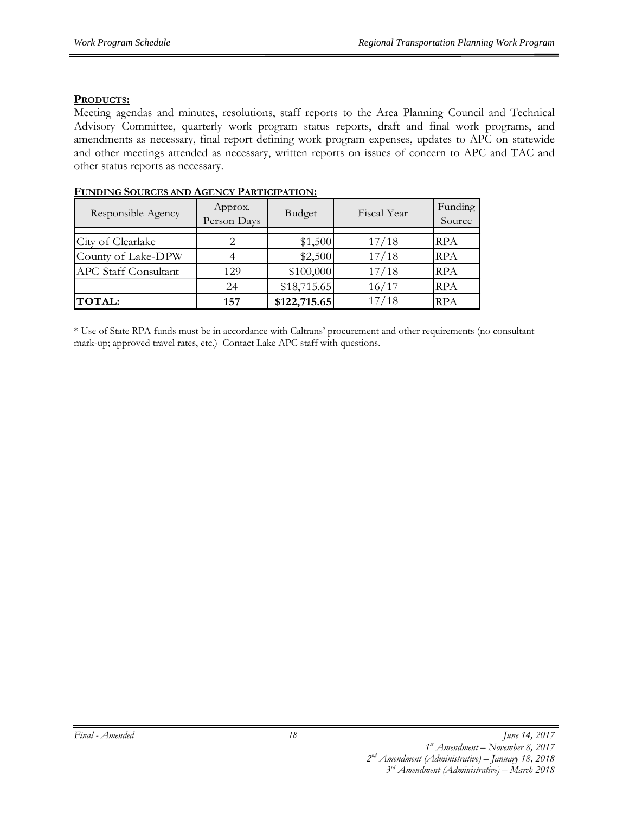#### **PRODUCTS:**

Meeting agendas and minutes, resolutions, staff reports to the Area Planning Council and Technical Advisory Committee, quarterly work program status reports, draft and final work programs, and amendments as necessary, final report defining work program expenses, updates to APC on statewide and other meetings attended as necessary, written reports on issues of concern to APC and TAC and other status reports as necessary.

| Responsible Agency          | Approx.<br>Person Days | Budget       | Fiscal Year | Funding<br>Source |
|-----------------------------|------------------------|--------------|-------------|-------------------|
|                             |                        |              |             |                   |
| City of Clearlake           |                        | \$1,500      | 17/18       | <b>RPA</b>        |
| County of Lake-DPW          |                        | \$2,500      | 17/18       | <b>RPA</b>        |
| <b>APC Staff Consultant</b> | 129                    | \$100,000    | 17/18       | <b>RPA</b>        |
|                             | 24                     | \$18,715.65  | 16/17       | <b>RPA</b>        |
| <b>TOTAL:</b>               | 157                    | \$122,715.65 | 17/18       | <b>RPA</b>        |

#### **FUNDING SOURCES AND AGENCY PARTICIPATION:**

\* Use of State RPA funds must be in accordance with Caltrans' procurement and other requirements (no consultant mark-up; approved travel rates, etc.) Contact Lake APC staff with questions.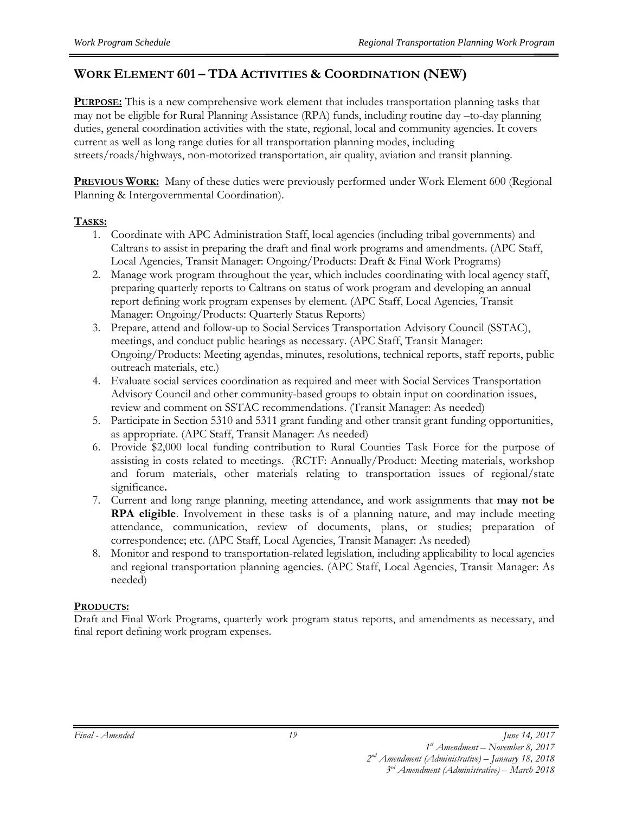#### **WORK ELEMENT 601 – TDA ACTIVITIES & COORDINATION (NEW)**

**PURPOSE:** This is a new comprehensive work element that includes transportation planning tasks that may not be eligible for Rural Planning Assistance (RPA) funds, including routine day –to-day planning duties, general coordination activities with the state, regional, local and community agencies. It covers current as well as long range duties for all transportation planning modes, including streets/roads/highways, non-motorized transportation, air quality, aviation and transit planning.

**PREVIOUS WORK:** Many of these duties were previously performed under Work Element 600 (Regional Planning & Intergovernmental Coordination).

#### **TASKS:**

- 1. Coordinate with APC Administration Staff, local agencies (including tribal governments) and Caltrans to assist in preparing the draft and final work programs and amendments. (APC Staff, Local Agencies, Transit Manager: Ongoing/Products: Draft & Final Work Programs)
- 2. Manage work program throughout the year, which includes coordinating with local agency staff, preparing quarterly reports to Caltrans on status of work program and developing an annual report defining work program expenses by element. (APC Staff, Local Agencies, Transit Manager: Ongoing/Products: Quarterly Status Reports)
- 3. Prepare, attend and follow-up to Social Services Transportation Advisory Council (SSTAC), meetings, and conduct public hearings as necessary. (APC Staff, Transit Manager: Ongoing/Products: Meeting agendas, minutes, resolutions, technical reports, staff reports, public outreach materials, etc.)
- 4. Evaluate social services coordination as required and meet with Social Services Transportation Advisory Council and other community-based groups to obtain input on coordination issues, review and comment on SSTAC recommendations. (Transit Manager: As needed)
- 5. Participate in Section 5310 and 5311 grant funding and other transit grant funding opportunities, as appropriate. (APC Staff, Transit Manager: As needed)
- 6. Provide \$2,000 local funding contribution to Rural Counties Task Force for the purpose of assisting in costs related to meetings. (RCTF: Annually/Product: Meeting materials, workshop and forum materials, other materials relating to transportation issues of regional/state significance**.**
- 7. Current and long range planning, meeting attendance, and work assignments that **may not be RPA eligible**. Involvement in these tasks is of a planning nature, and may include meeting attendance, communication, review of documents, plans, or studies; preparation of correspondence; etc. (APC Staff, Local Agencies, Transit Manager: As needed)
- 8. Monitor and respond to transportation-related legislation, including applicability to local agencies and regional transportation planning agencies. (APC Staff, Local Agencies, Transit Manager: As needed)

#### **PRODUCTS:**

Draft and Final Work Programs, quarterly work program status reports, and amendments as necessary, and final report defining work program expenses.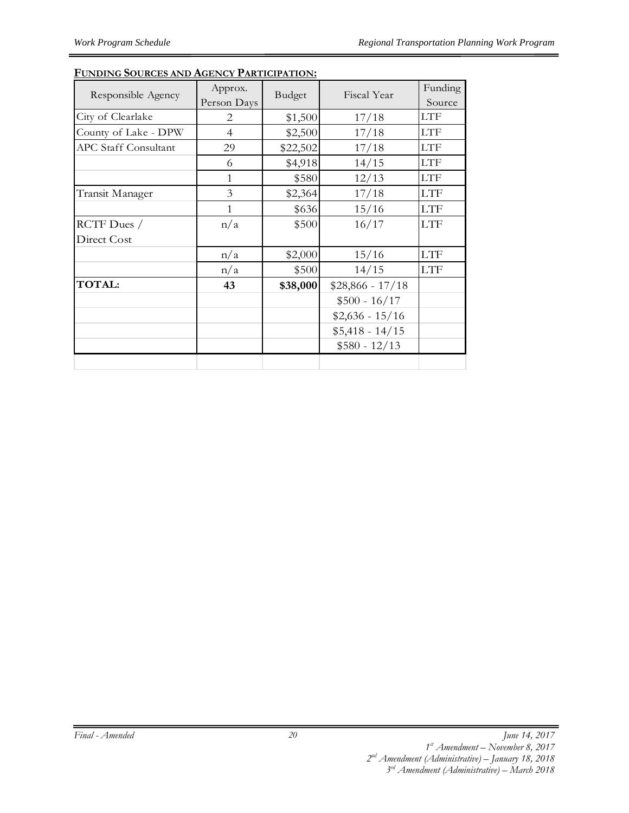#### **FUNDING SOURCES AND AGENCY PARTICIPATION:**

| Responsible Agency          | Approx.        | Budget   | Fiscal Year       | Funding    |
|-----------------------------|----------------|----------|-------------------|------------|
|                             | Person Days    |          |                   | Source     |
| City of Clearlake           | 2              | \$1,500  | 17/18             | <b>LTF</b> |
| County of Lake - DPW        | $\overline{4}$ | \$2,500  | 17/18             | <b>LTF</b> |
| <b>APC Staff Consultant</b> | 29             | \$22,502 | 17/18             | <b>LTF</b> |
|                             | 6              | \$4,918  | 14/15             | <b>LTF</b> |
|                             | 1              | \$580    | 12/13             | <b>LTF</b> |
| Transit Manager             | 3              | \$2,364  | 17/18             | <b>LTF</b> |
|                             | 1              | \$636    | 15/16             | <b>LTF</b> |
| RCTF Dues /                 | n/a            | \$500    | 16/17             | <b>LTF</b> |
| Direct Cost                 |                |          |                   |            |
|                             | n/a            | \$2,000  | 15/16             | <b>LTF</b> |
|                             | n/a            | \$500    | 14/15             | <b>LTF</b> |
| <b>TOTAL:</b>               | 43             | \$38,000 | $$28,866 - 17/18$ |            |
|                             |                |          | $$500 - 16/17$    |            |
|                             |                |          | $$2,636 - 15/16$  |            |
|                             |                |          | $$5,418 - 14/15$  |            |
|                             |                |          | $$580 - 12/13$    |            |
|                             |                |          |                   |            |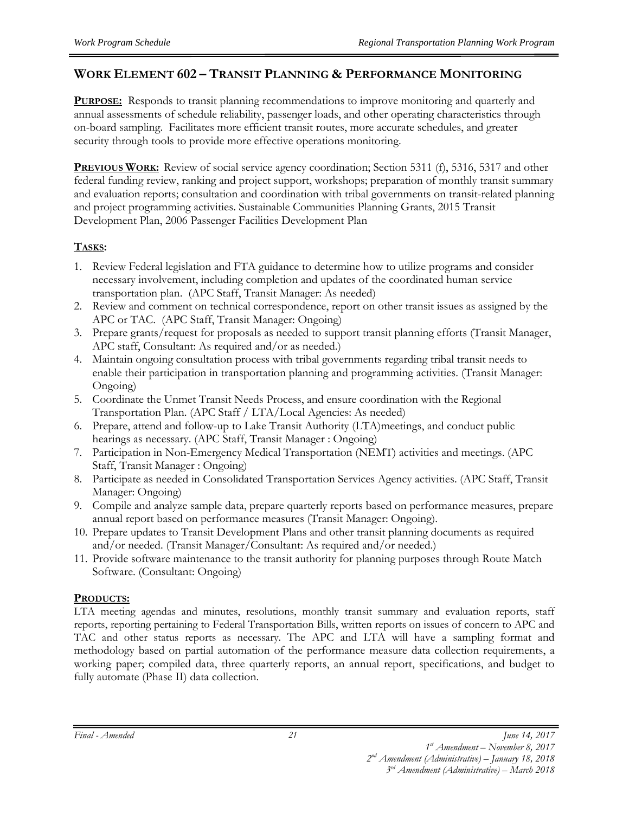#### **WORK ELEMENT 602 – TRANSIT PLANNING & PERFORMANCE MONITORING**

**PURPOSE:** Responds to transit planning recommendations to improve monitoring and quarterly and annual assessments of schedule reliability, passenger loads, and other operating characteristics through on-board sampling. Facilitates more efficient transit routes, more accurate schedules, and greater security through tools to provide more effective operations monitoring.

**PREVIOUS WORK:** Review of social service agency coordination; Section 5311 (f), 5316, 5317 and other federal funding review, ranking and project support, workshops; preparation of monthly transit summary and evaluation reports; consultation and coordination with tribal governments on transit-related planning and project programming activities. Sustainable Communities Planning Grants, 2015 Transit Development Plan, 2006 Passenger Facilities Development Plan

#### **TASKS:**

- 1. Review Federal legislation and FTA guidance to determine how to utilize programs and consider necessary involvement, including completion and updates of the coordinated human service transportation plan. (APC Staff, Transit Manager: As needed)
- 2. Review and comment on technical correspondence, report on other transit issues as assigned by the APC or TAC. (APC Staff, Transit Manager: Ongoing)
- 3. Prepare grants/request for proposals as needed to support transit planning efforts (Transit Manager, APC staff, Consultant: As required and/or as needed.)
- 4. Maintain ongoing consultation process with tribal governments regarding tribal transit needs to enable their participation in transportation planning and programming activities. (Transit Manager: Ongoing)
- 5. Coordinate the Unmet Transit Needs Process, and ensure coordination with the Regional Transportation Plan. (APC Staff / LTA/Local Agencies: As needed)
- 6. Prepare, attend and follow-up to Lake Transit Authority (LTA)meetings, and conduct public hearings as necessary. (APC Staff, Transit Manager : Ongoing)
- 7. Participation in Non-Emergency Medical Transportation (NEMT) activities and meetings. (APC Staff, Transit Manager : Ongoing)
- 8. Participate as needed in Consolidated Transportation Services Agency activities. (APC Staff, Transit Manager: Ongoing)
- 9. Compile and analyze sample data, prepare quarterly reports based on performance measures, prepare annual report based on performance measures (Transit Manager: Ongoing).
- 10. Prepare updates to Transit Development Plans and other transit planning documents as required and/or needed. (Transit Manager/Consultant: As required and/or needed.)
- 11. Provide software maintenance to the transit authority for planning purposes through Route Match Software. (Consultant: Ongoing)

#### **PRODUCTS:**

LTA meeting agendas and minutes, resolutions, monthly transit summary and evaluation reports, staff reports, reporting pertaining to Federal Transportation Bills, written reports on issues of concern to APC and TAC and other status reports as necessary. The APC and LTA will have a sampling format and methodology based on partial automation of the performance measure data collection requirements, a working paper; compiled data, three quarterly reports, an annual report, specifications, and budget to fully automate (Phase II) data collection.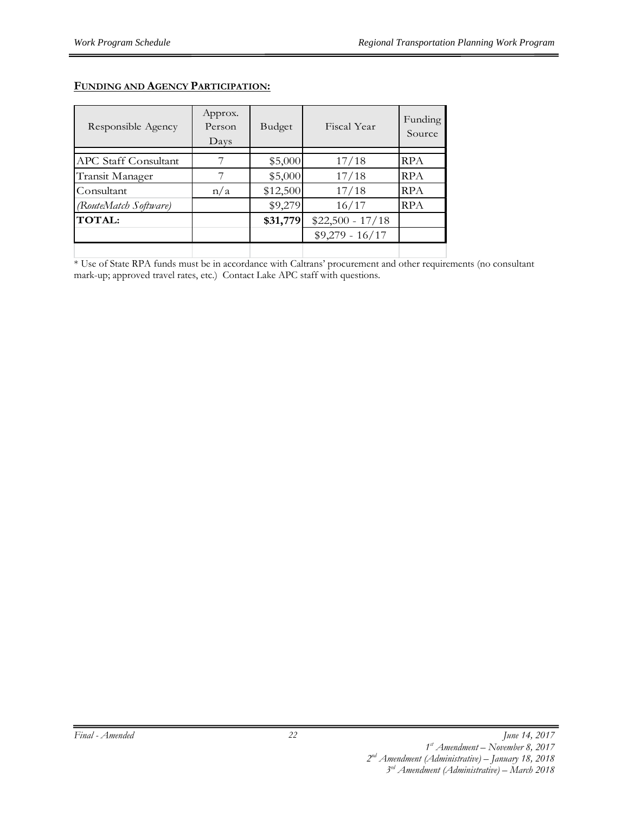| Responsible Agency          | Approx.<br>Person<br>Days | Budget   | Fiscal Year       | Funding<br>Source |
|-----------------------------|---------------------------|----------|-------------------|-------------------|
|                             |                           |          |                   |                   |
| <b>APC Staff Consultant</b> |                           | \$5,000  | 17/18             | <b>RPA</b>        |
| Transit Manager             |                           | \$5,000  | 17/18             | <b>RPA</b>        |
| Consultant                  | n/a                       | \$12,500 | 17/18             | <b>RPA</b>        |
| (RouteMatch Software)       |                           | \$9,279  | 16/17             | <b>RPA</b>        |
| <b>TOTAL:</b>               |                           | \$31,779 | $$22,500 - 17/18$ |                   |
|                             |                           |          | $$9,279 - 16/17$  |                   |
|                             |                           |          |                   |                   |

#### **FUNDING AND AGENCY PARTICIPATION:**

\* Use of State RPA funds must be in accordance with Caltrans' procurement and other requirements (no consultant mark-up; approved travel rates, etc.) Contact Lake APC staff with questions.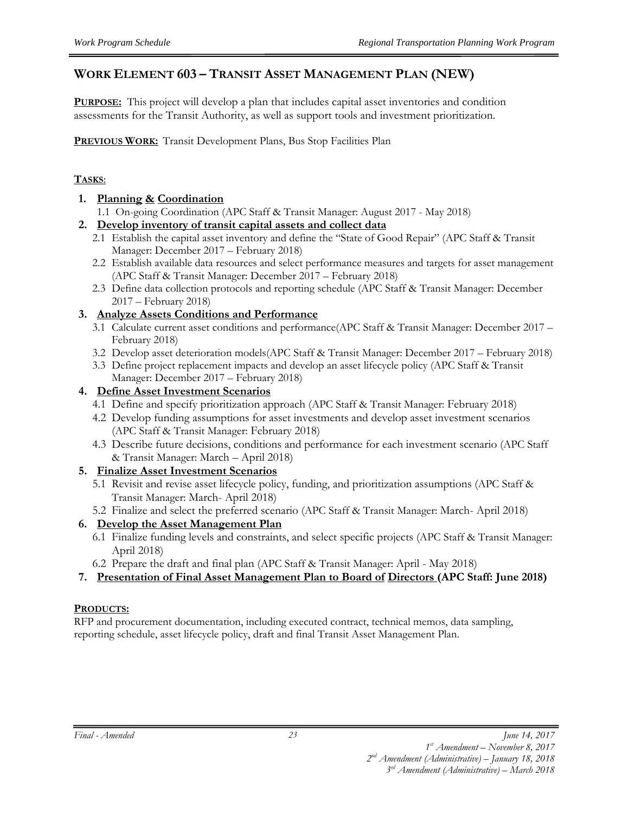#### **WORK ELEMENT 603 – TRANSIT ASSET MANAGEMENT PLAN (NEW)**

**PURPOSE:** This project will develop a plan that includes capital asset inventories and condition assessments for the Transit Authority, as well as support tools and investment prioritization.

**PREVIOUS WORK:** Transit Development Plans, Bus Stop Facilities Plan

#### **TASKS**:

- **1. Planning & Coordination** 
	- 1.1 On-going Coordination (APC Staff & Transit Manager: August 2017 May 2018)
- **2. Develop inventory of transit capital assets and collect data** 
	- 2.1 Establish the capital asset inventory and define the "State of Good Repair" (APC Staff & Transit Manager: December 2017 – February 2018)
	- 2.2 Establish available data resources and select performance measures and targets for asset management (APC Staff & Transit Manager: December 2017 – February 2018)
	- 2.3 Define data collection protocols and reporting schedule (APC Staff & Transit Manager: December 2017 – February 2018)
- **3. Analyze Assets Conditions and Performance** 
	- 3.1 Calculate current asset conditions and performance(APC Staff & Transit Manager: December 2017 February 2018)
	- 3.2 Develop asset deterioration models(APC Staff & Transit Manager: December 2017 February 2018)
	- 3.3 Define project replacement impacts and develop an asset lifecycle policy (APC Staff & Transit Manager: December 2017 – February 2018)

#### **4. Define Asset Investment Scenarios**

- 4.1 Define and specify prioritization approach (APC Staff & Transit Manager: February 2018)
- 4.2 Develop funding assumptions for asset investments and develop asset investment scenarios (APC Staff & Transit Manager: February 2018)
- 4.3 Describe future decisions, conditions and performance for each investment scenario (APC Staff & Transit Manager: March – April 2018)

#### **5. Finalize Asset Investment Scenarios**

- 5.1 Revisit and revise asset lifecycle policy, funding, and prioritization assumptions (APC Staff & Transit Manager: March- April 2018)
- 5.2 Finalize and select the preferred scenario (APC Staff & Transit Manager: March- April 2018)

#### **6. Develop the Asset Management Plan**

- 6.1 Finalize funding levels and constraints, and select specific projects (APC Staff & Transit Manager: April 2018)
- 6.2 Prepare the draft and final plan (APC Staff & Transit Manager: April May 2018)
- **7. Presentation of Final Asset Management Plan to Board of Directors (APC Staff: June 2018)**

#### **PRODUCTS:**

RFP and procurement documentation, including executed contract, technical memos, data sampling, reporting schedule, asset lifecycle policy, draft and final Transit Asset Management Plan.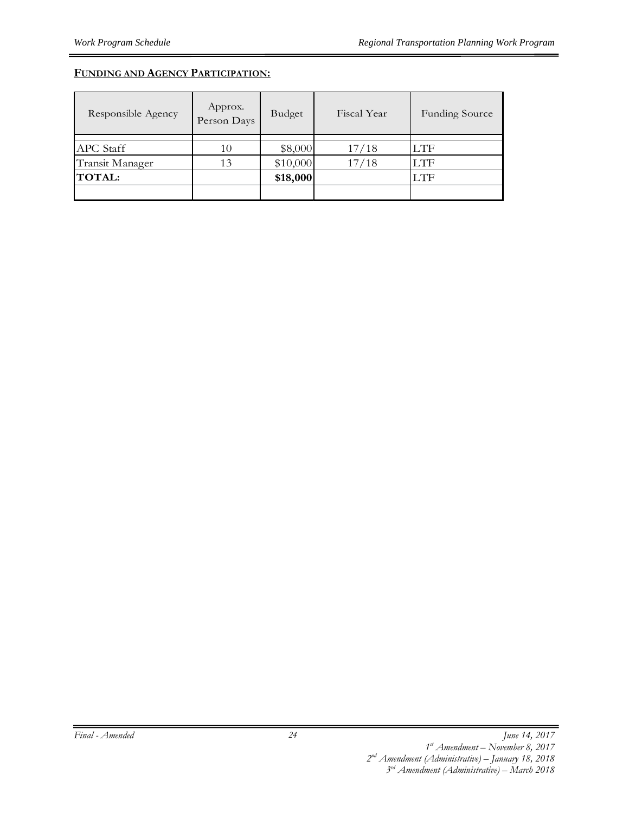#### **FUNDING AND AGENCY PARTICIPATION:**

| Responsible Agency | Approx.<br>Person Days | Budget   | Fiscal Year | <b>Funding Source</b> |
|--------------------|------------------------|----------|-------------|-----------------------|
|                    |                        |          |             |                       |
| <b>APC</b> Staff   | 10                     | \$8,000  | 17/18       | <b>LTF</b>            |
| Transit Manager    | 13                     | \$10,000 | 17/18       | <b>LTF</b>            |
| <b>TOTAL:</b>      |                        | \$18,000 |             | LTF                   |
|                    |                        |          |             |                       |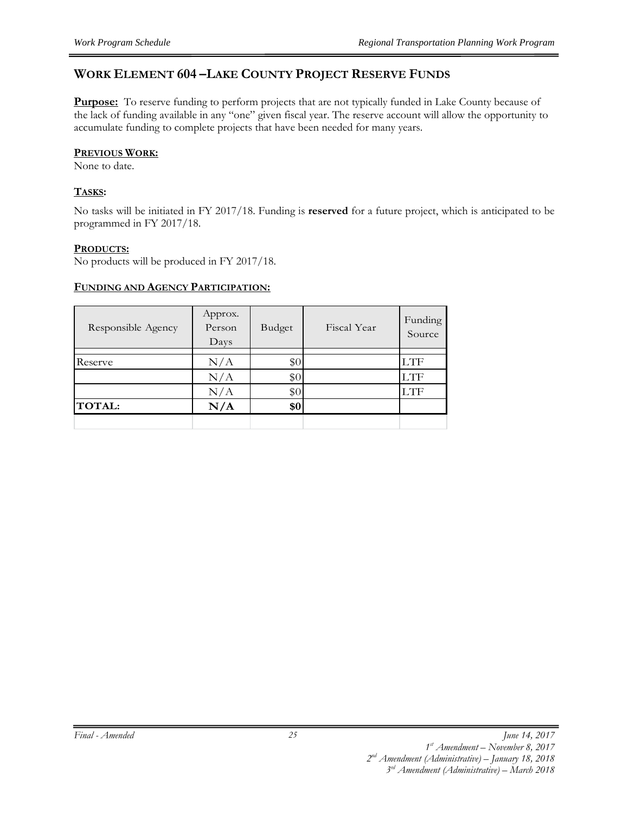#### **WORK ELEMENT 604 –LAKE COUNTY PROJECT RESERVE FUNDS**

**Purpose:** To reserve funding to perform projects that are not typically funded in Lake County because of the lack of funding available in any "one" given fiscal year. The reserve account will allow the opportunity to accumulate funding to complete projects that have been needed for many years.

#### **PREVIOUS WORK:**

None to date.

#### **TASKS:**

No tasks will be initiated in FY 2017/18. Funding is **reserved** for a future project, which is anticipated to be programmed in FY 2017/18.

#### **PRODUCTS:**

No products will be produced in FY 2017/18.

#### **FUNDING AND AGENCY PARTICIPATION:**

| Responsible Agency | Approx.<br>Person<br>Days | Budget | Fiscal Year | Funding<br>Source |
|--------------------|---------------------------|--------|-------------|-------------------|
|                    |                           |        |             |                   |
| Reserve            | N/A                       | \$0    |             | LTF               |
|                    | N/A                       | \$0    |             | <b>LTF</b>        |
|                    | N/A                       | \$0    |             | LTF               |
| <b>TOTAL:</b>      | N/A                       | \$0    |             |                   |
|                    |                           |        |             |                   |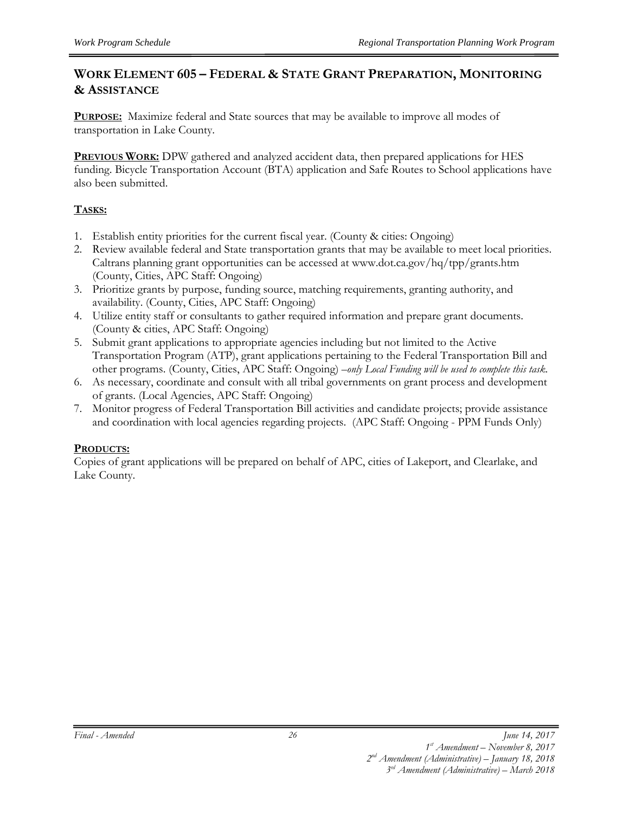#### **WORK ELEMENT 605 – FEDERAL & STATE GRANT PREPARATION, MONITORING & ASSISTANCE**

**PURPOSE:** Maximize federal and State sources that may be available to improve all modes of transportation in Lake County.

**PREVIOUS WORK:** DPW gathered and analyzed accident data, then prepared applications for HES funding. Bicycle Transportation Account (BTA) application and Safe Routes to School applications have also been submitted.

#### **TASKS:**

- 1. Establish entity priorities for the current fiscal year. (County & cities: Ongoing)
- 2. Review available federal and State transportation grants that may be available to meet local priorities. Caltrans planning grant opportunities can be accessed at www.dot.ca.gov/hq/tpp/grants.htm (County, Cities, APC Staff: Ongoing)
- 3. Prioritize grants by purpose, funding source, matching requirements, granting authority, and availability. (County, Cities, APC Staff: Ongoing)
- 4. Utilize entity staff or consultants to gather required information and prepare grant documents. (County & cities, APC Staff: Ongoing)
- 5. Submit grant applications to appropriate agencies including but not limited to the Active Transportation Program (ATP), grant applications pertaining to the Federal Transportation Bill and other programs. (County, Cities, APC Staff: Ongoing) *–only Local Funding will be used to complete this task.*
- 6. As necessary, coordinate and consult with all tribal governments on grant process and development of grants. (Local Agencies, APC Staff: Ongoing)
- 7. Monitor progress of Federal Transportation Bill activities and candidate projects; provide assistance and coordination with local agencies regarding projects. (APC Staff: Ongoing - PPM Funds Only)

#### **PRODUCTS:**

Copies of grant applications will be prepared on behalf of APC, cities of Lakeport, and Clearlake, and Lake County.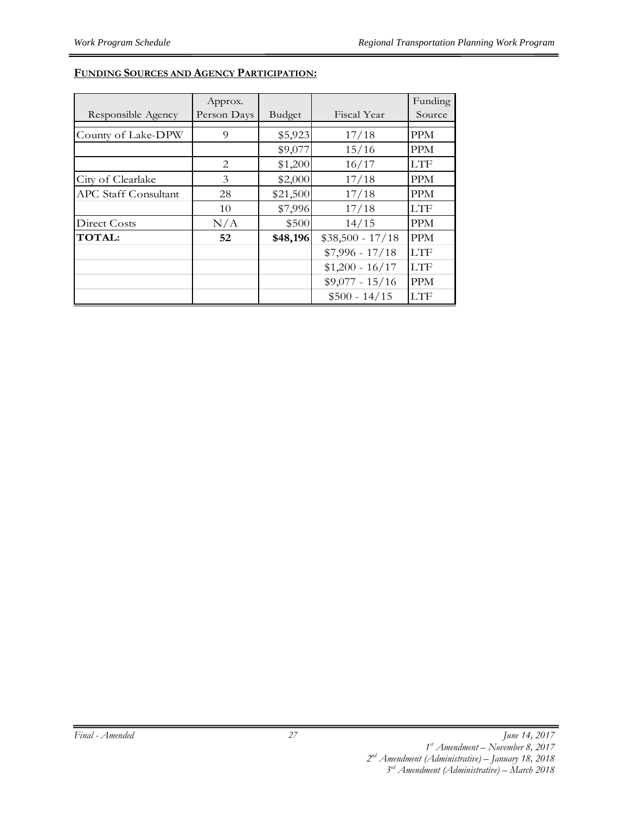#### **FUNDING SOURCES AND AGENCY PARTICIPATION:**

|                             | Approx.       |          |                   | Funding    |
|-----------------------------|---------------|----------|-------------------|------------|
| Responsible Agency          | Person Days   | Budget   | Fiscal Year       | Source     |
| County of Lake-DPW          | 9             | \$5,923  | 17/18             | <b>PPM</b> |
|                             |               | \$9,077  | 15/16             | PPM        |
|                             | 2             | \$1,200  | 16/17             | <b>LTF</b> |
| City of Clearlake           | $\mathcal{E}$ | \$2,000  | 17/18             | <b>PPM</b> |
| <b>APC Staff Consultant</b> | 28            | \$21,500 | 17/18             | <b>PPM</b> |
|                             | 10            | \$7,996  | 17/18             | LTF        |
| Direct Costs                | N/A           | \$500    | 14/15             | <b>PPM</b> |
| <b>TOTAL:</b>               | 52            | \$48,196 | $$38,500 - 17/18$ | <b>PPM</b> |
|                             |               |          | $$7,996 - 17/18$  | <b>LTF</b> |
|                             |               |          | $$1,200 - 16/17$  | <b>LTF</b> |
|                             |               |          | $$9,077 - 15/16$  | <b>PPM</b> |
|                             |               |          | $$500 - 14/15$    | <b>LTF</b> |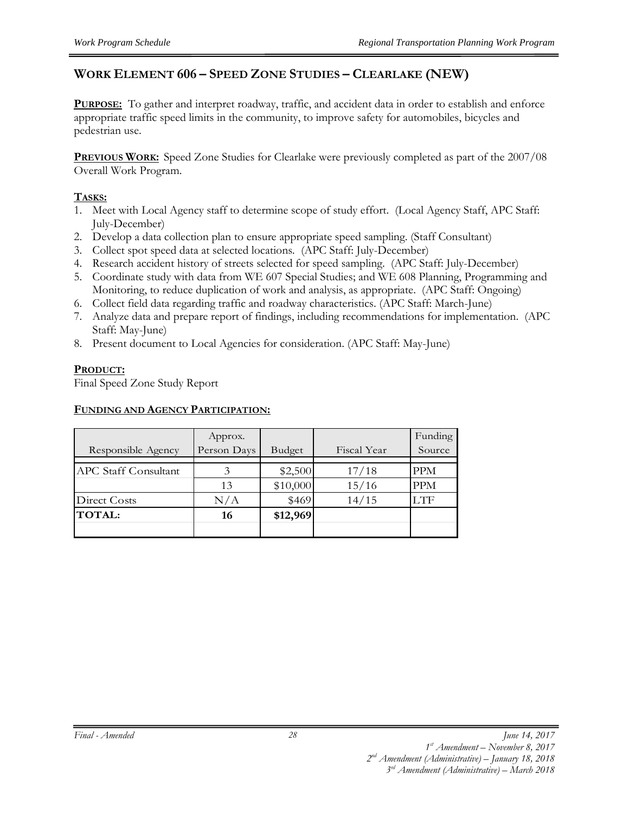#### **WORK ELEMENT 606 – SPEED ZONE STUDIES – CLEARLAKE (NEW)**

**PURPOSE:** To gather and interpret roadway, traffic, and accident data in order to establish and enforce appropriate traffic speed limits in the community, to improve safety for automobiles, bicycles and pedestrian use.

**PREVIOUS WORK:** Speed Zone Studies for Clearlake were previously completed as part of the 2007/08 Overall Work Program.

#### **TASKS:**

- 1. Meet with Local Agency staff to determine scope of study effort. (Local Agency Staff, APC Staff: July-December)
- 2. Develop a data collection plan to ensure appropriate speed sampling. (Staff Consultant)
- 3. Collect spot speed data at selected locations*.* (APC Staff: July-December)
- 4. Research accident history of streets selected for speed sampling. (APC Staff: July-December)
- 5. Coordinate study with data from WE 607 Special Studies; and WE 608 Planning, Programming and Monitoring, to reduce duplication of work and analysis, as appropriate. (APC Staff: Ongoing)
- 6. Collect field data regarding traffic and roadway characteristics. (APC Staff: March-June)
- 7. Analyze data and prepare report of findings, including recommendations for implementation. (APC Staff: May-June)
- 8. Present document to Local Agencies for consideration. (APC Staff: May-June)

#### **PRODUCT:**

Final Speed Zone Study Report

#### **FUNDING AND AGENCY PARTICIPATION:**

|                             | Approx.     |          |             | Funding    |
|-----------------------------|-------------|----------|-------------|------------|
| Responsible Agency          | Person Days | Budget   | Fiscal Year | Source     |
|                             |             |          |             |            |
| <b>APC Staff Consultant</b> | 3           | \$2,500  | 17/18       | <b>PPM</b> |
|                             | 13          | \$10,000 | 15/16       | <b>PPM</b> |
| Direct Costs                | N/A         | \$469    | 14/15       | LTF.       |
| <b>TOTAL:</b>               | 16          | \$12,969 |             |            |
|                             |             |          |             |            |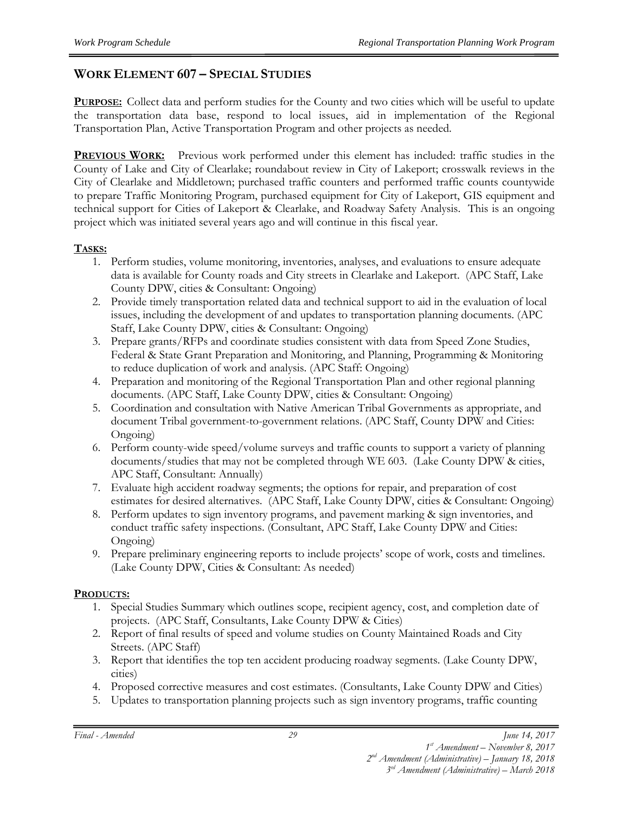#### **WORK ELEMENT 607 – SPECIAL STUDIES**

**PURPOSE:** Collect data and perform studies for the County and two cities which will be useful to update the transportation data base, respond to local issues, aid in implementation of the Regional Transportation Plan, Active Transportation Program and other projects as needed.

**PREVIOUS WORK:** Previous work performed under this element has included: traffic studies in the County of Lake and City of Clearlake; roundabout review in City of Lakeport; crosswalk reviews in the City of Clearlake and Middletown; purchased traffic counters and performed traffic counts countywide to prepare Traffic Monitoring Program, purchased equipment for City of Lakeport, GIS equipment and technical support for Cities of Lakeport & Clearlake, and Roadway Safety Analysis. This is an ongoing project which was initiated several years ago and will continue in this fiscal year.

#### **TASKS:**

- 1. Perform studies, volume monitoring, inventories, analyses, and evaluations to ensure adequate data is available for County roads and City streets in Clearlake and Lakeport. (APC Staff, Lake County DPW, cities & Consultant: Ongoing)
- 2. Provide timely transportation related data and technical support to aid in the evaluation of local issues, including the development of and updates to transportation planning documents. (APC Staff, Lake County DPW, cities & Consultant: Ongoing)
- 3. Prepare grants/RFPs and coordinate studies consistent with data from Speed Zone Studies, Federal & State Grant Preparation and Monitoring, and Planning, Programming & Monitoring to reduce duplication of work and analysis. (APC Staff: Ongoing)
- 4. Preparation and monitoring of the Regional Transportation Plan and other regional planning documents. (APC Staff, Lake County DPW, cities & Consultant: Ongoing)
- 5. Coordination and consultation with Native American Tribal Governments as appropriate, and document Tribal government-to-government relations. (APC Staff, County DPW and Cities: Ongoing)
- 6. Perform county-wide speed/volume surveys and traffic counts to support a variety of planning documents/studies that may not be completed through WE 603. (Lake County DPW & cities, APC Staff, Consultant: Annually)
- 7. Evaluate high accident roadway segments; the options for repair, and preparation of cost estimates for desired alternatives. (APC Staff, Lake County DPW, cities & Consultant: Ongoing)
- 8. Perform updates to sign inventory programs, and pavement marking & sign inventories, and conduct traffic safety inspections. (Consultant, APC Staff, Lake County DPW and Cities: Ongoing)
- 9. Prepare preliminary engineering reports to include projects' scope of work, costs and timelines. (Lake County DPW, Cities & Consultant: As needed)

#### **PRODUCTS:**

- 1. Special Studies Summary which outlines scope, recipient agency, cost, and completion date of projects. (APC Staff, Consultants, Lake County DPW & Cities)
- 2. Report of final results of speed and volume studies on County Maintained Roads and City Streets. (APC Staff)
- 3. Report that identifies the top ten accident producing roadway segments. (Lake County DPW, cities)
- 4. Proposed corrective measures and cost estimates. (Consultants, Lake County DPW and Cities)
- 5. Updates to transportation planning projects such as sign inventory programs, traffic counting

*Final - Amended June 14, 2017*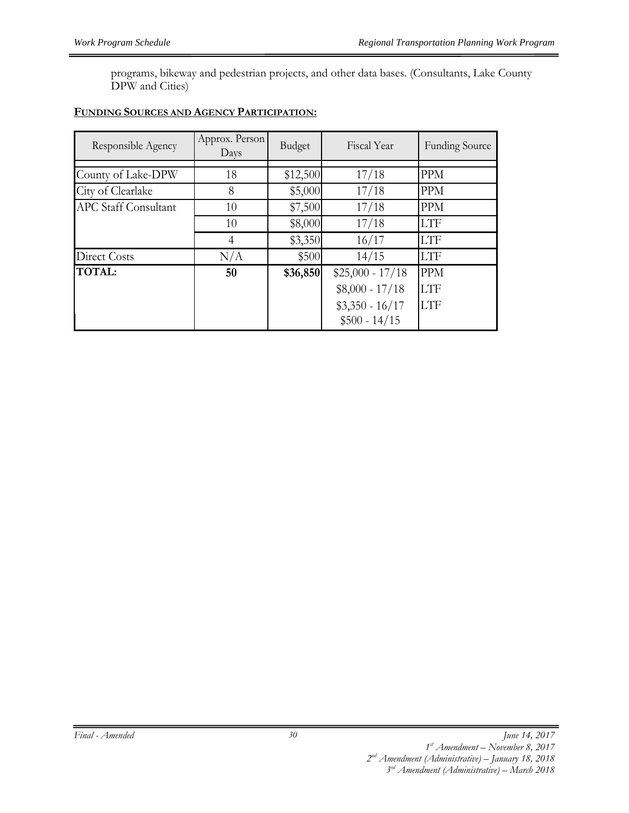programs, bikeway and pedestrian projects, and other data bases. (Consultants, Lake County DPW and Cities)

#### **FUNDING SOURCES AND AGENCY PARTICIPATION:**

| Responsible Agency          | Approx. Person<br>Days | Budget   | Fiscal Year       | <b>Funding Source</b> |
|-----------------------------|------------------------|----------|-------------------|-----------------------|
|                             |                        |          |                   |                       |
| County of Lake-DPW          | 18                     | \$12,500 | 17/18             | <b>PPM</b>            |
| City of Clearlake           | 8                      | \$5,000  | 17/18             | <b>PPM</b>            |
| <b>APC Staff Consultant</b> | 10                     | \$7,500  | 17/18             | <b>PPM</b>            |
|                             | 10                     | \$8,000  | 17/18             | <b>LTF</b>            |
|                             | 4                      | \$3,350  | 16/17             | <b>LTF</b>            |
| Direct Costs                | N/A                    | \$500    | 14/15             | <b>LTF</b>            |
| <b>TOTAL:</b>               | 50                     | \$36,850 | $$25,000 - 17/18$ | <b>PPM</b>            |
|                             |                        |          | $$8,000 - 17/18$  | <b>LTF</b>            |
|                             |                        |          | $$3,350 - 16/17$  | <b>LTF</b>            |
|                             |                        |          | $$500 - 14/15$    |                       |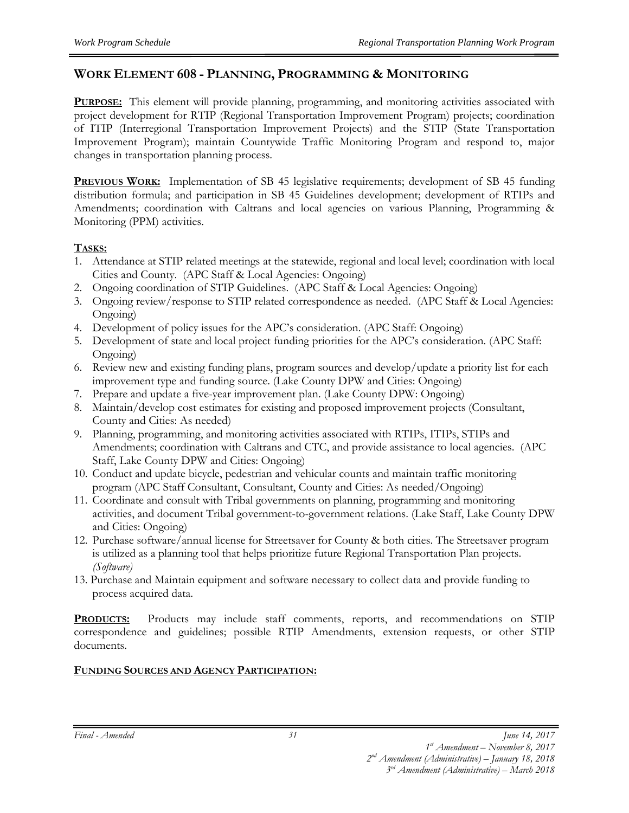#### **WORK ELEMENT 608 - PLANNING, PROGRAMMING & MONITORING**

**PURPOSE:** This element will provide planning, programming, and monitoring activities associated with project development for RTIP (Regional Transportation Improvement Program) projects; coordination of ITIP (Interregional Transportation Improvement Projects) and the STIP (State Transportation Improvement Program); maintain Countywide Traffic Monitoring Program and respond to, major changes in transportation planning process.

**PREVIOUS WORK:** Implementation of SB 45 legislative requirements; development of SB 45 funding distribution formula; and participation in SB 45 Guidelines development; development of RTIPs and Amendments; coordination with Caltrans and local agencies on various Planning, Programming & Monitoring (PPM) activities.

#### **TASKS:**

- 1. Attendance at STIP related meetings at the statewide, regional and local level; coordination with local Cities and County. (APC Staff & Local Agencies: Ongoing)
- 2. Ongoing coordination of STIP Guidelines. (APC Staff & Local Agencies: Ongoing)
- 3. Ongoing review/response to STIP related correspondence as needed. (APC Staff & Local Agencies: Ongoing)
- 4. Development of policy issues for the APC's consideration. (APC Staff: Ongoing)
- 5. Development of state and local project funding priorities for the APC's consideration. (APC Staff: Ongoing)
- 6. Review new and existing funding plans, program sources and develop/update a priority list for each improvement type and funding source. (Lake County DPW and Cities: Ongoing)
- 7. Prepare and update a five-year improvement plan. (Lake County DPW: Ongoing)
- 8. Maintain/develop cost estimates for existing and proposed improvement projects (Consultant, County and Cities: As needed)
- 9. Planning, programming, and monitoring activities associated with RTIPs, ITIPs, STIPs and Amendments; coordination with Caltrans and CTC, and provide assistance to local agencies. (APC Staff, Lake County DPW and Cities: Ongoing)
- 10. Conduct and update bicycle, pedestrian and vehicular counts and maintain traffic monitoring program (APC Staff Consultant, Consultant, County and Cities: As needed/Ongoing)
- 11. Coordinate and consult with Tribal governments on planning, programming and monitoring activities, and document Tribal government-to-government relations. (Lake Staff, Lake County DPW and Cities: Ongoing)
- 12. Purchase software/annual license for Streetsaver for County & both cities. The Streetsaver program is utilized as a planning tool that helps prioritize future Regional Transportation Plan projects. *(Software)*
- 13. Purchase and Maintain equipment and software necessary to collect data and provide funding to process acquired data.

**PRODUCTS:** Products may include staff comments, reports, and recommendations on STIP correspondence and guidelines; possible RTIP Amendments, extension requests, or other STIP documents.

#### **FUNDING SOURCES AND AGENCY PARTICIPATION:**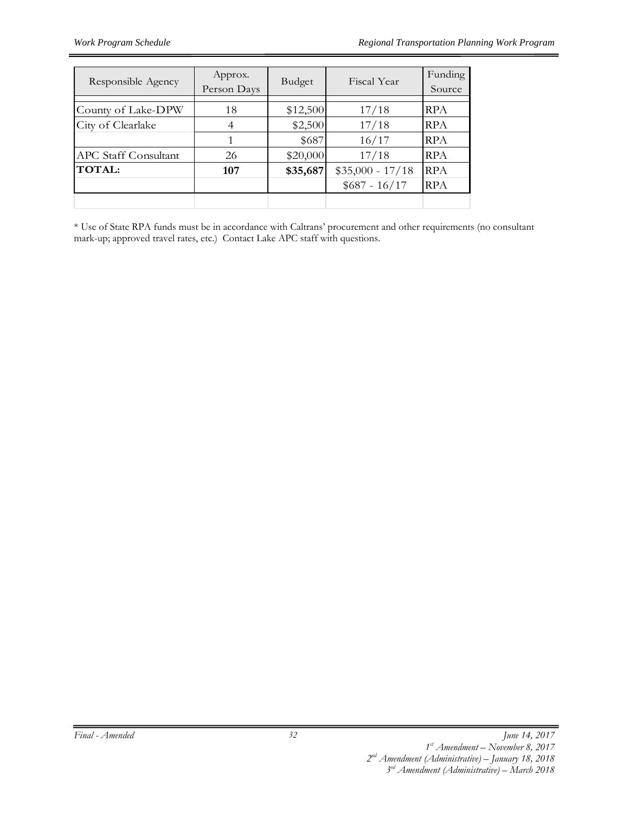| Responsible Agency          | Approx.<br>Person Days | Budget   | Fiscal Year       | Funding<br>Source |
|-----------------------------|------------------------|----------|-------------------|-------------------|
| County of Lake-DPW          | 18                     | \$12,500 | 17/18             | <b>RPA</b>        |
| City of Clearlake           |                        | \$2,500  | 17/18             | <b>RPA</b>        |
|                             |                        | \$687    | 16/17             | <b>RPA</b>        |
| <b>APC Staff Consultant</b> | 26                     | \$20,000 | 17/18             | <b>RPA</b>        |
| <b>TOTAL:</b>               | 107                    | \$35,687 | $$35,000 - 17/18$ | <b>RPA</b>        |
|                             |                        |          | $$687 - 16/17$    | <b>RPA</b>        |
|                             |                        |          |                   |                   |

\* Use of State RPA funds must be in accordance with Caltrans' procurement and other requirements (no consultant mark-up; approved travel rates, etc.) Contact Lake APC staff with questions.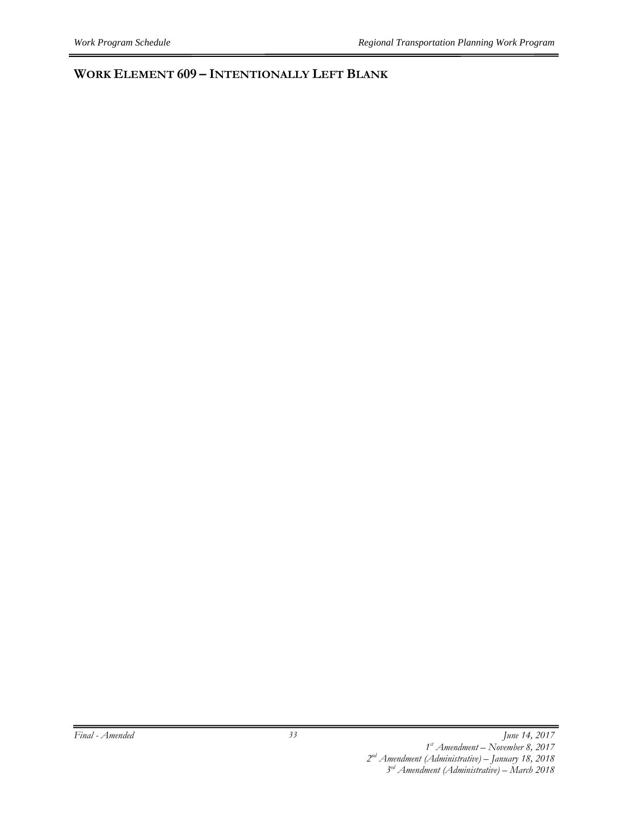#### **WORK ELEMENT 609 – INTENTIONALLY LEFT BLANK**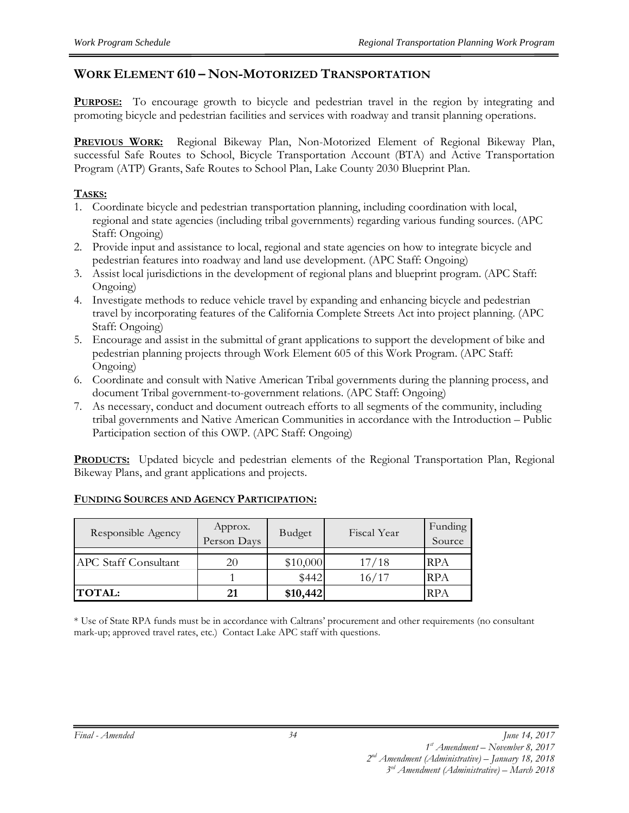#### **WORK ELEMENT 610 – NON-MOTORIZED TRANSPORTATION**

**PURPOSE:** To encourage growth to bicycle and pedestrian travel in the region by integrating and promoting bicycle and pedestrian facilities and services with roadway and transit planning operations.

PREVIOUS WORK: Regional Bikeway Plan, Non-Motorized Element of Regional Bikeway Plan, successful Safe Routes to School, Bicycle Transportation Account (BTA) and Active Transportation Program (ATP) Grants, Safe Routes to School Plan, Lake County 2030 Blueprint Plan.

#### **TASKS:**

- 1. Coordinate bicycle and pedestrian transportation planning, including coordination with local, regional and state agencies (including tribal governments) regarding various funding sources. (APC Staff: Ongoing)
- 2. Provide input and assistance to local, regional and state agencies on how to integrate bicycle and pedestrian features into roadway and land use development. (APC Staff: Ongoing)
- 3. Assist local jurisdictions in the development of regional plans and blueprint program. (APC Staff: Ongoing)
- 4. Investigate methods to reduce vehicle travel by expanding and enhancing bicycle and pedestrian travel by incorporating features of the California Complete Streets Act into project planning. (APC Staff: Ongoing)
- 5. Encourage and assist in the submittal of grant applications to support the development of bike and pedestrian planning projects through Work Element 605 of this Work Program. (APC Staff: Ongoing)
- 6. Coordinate and consult with Native American Tribal governments during the planning process, and document Tribal government-to-government relations. (APC Staff: Ongoing)
- 7. As necessary, conduct and document outreach efforts to all segments of the community, including tribal governments and Native American Communities in accordance with the Introduction – Public Participation section of this OWP. (APC Staff: Ongoing)

**PRODUCTS:** Updated bicycle and pedestrian elements of the Regional Transportation Plan, Regional Bikeway Plans, and grant applications and projects.

| Responsible Agency          | Approx.<br>Person Days | Budget   | Fiscal Year | Funding<br>Source |
|-----------------------------|------------------------|----------|-------------|-------------------|
|                             |                        |          |             |                   |
| <b>APC Staff Consultant</b> | 20                     | \$10,000 | 17/18       | <b>RPA</b>        |
|                             |                        | \$442    | 16/17       | <b>RPA</b>        |
| <b>TOTAL:</b>               | 21                     | \$10,442 |             | <b>RPA</b>        |

#### **FUNDING SOURCES AND AGENCY PARTICIPATION:**

\* Use of State RPA funds must be in accordance with Caltrans' procurement and other requirements (no consultant mark-up; approved travel rates, etc.) Contact Lake APC staff with questions.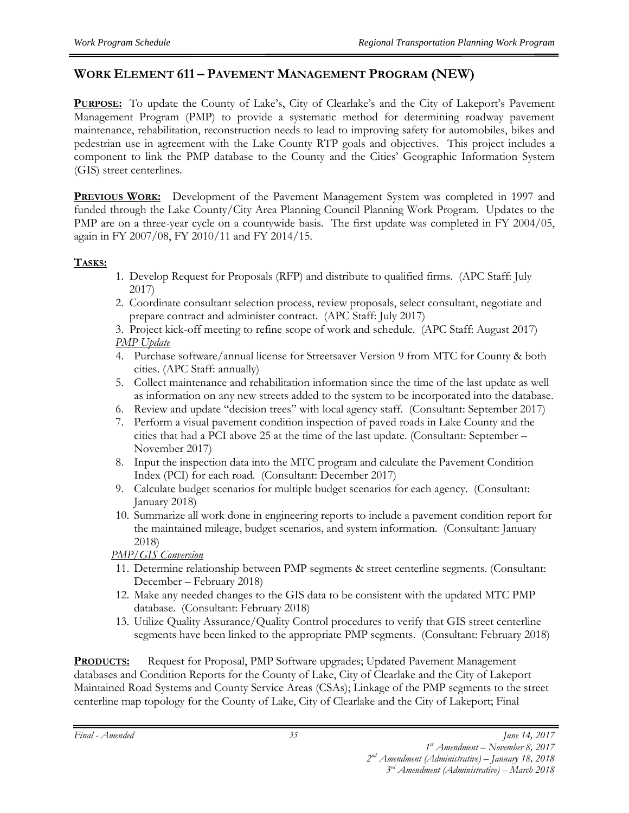#### **WORK ELEMENT 611 – PAVEMENT MANAGEMENT PROGRAM (NEW)**

**PURPOSE:** To update the County of Lake's, City of Clearlake's and the City of Lakeport's Pavement Management Program (PMP) to provide a systematic method for determining roadway pavement maintenance, rehabilitation, reconstruction needs to lead to improving safety for automobiles, bikes and pedestrian use in agreement with the Lake County RTP goals and objectives. This project includes a component to link the PMP database to the County and the Cities' Geographic Information System (GIS) street centerlines.

**PREVIOUS WORK:** Development of the Pavement Management System was completed in 1997 and funded through the Lake County/City Area Planning Council Planning Work Program. Updates to the PMP are on a three-year cycle on a countywide basis. The first update was completed in FY 2004/05, again in FY 2007/08, FY 2010/11 and FY 2014/15.

#### **TASKS:**

- 1. Develop Request for Proposals (RFP) and distribute to qualified firms. (APC Staff: July 2017)
- 2. Coordinate consultant selection process, review proposals, select consultant, negotiate and prepare contract and administer contract. (APC Staff: July 2017)
- 3. Project kick-off meeting to refine scope of work and schedule. (APC Staff: August 2017) *PMP Update*
- 4. Purchase software/annual license for Streetsaver Version 9 from MTC for County & both cities. (APC Staff: annually)
- 5. Collect maintenance and rehabilitation information since the time of the last update as well as information on any new streets added to the system to be incorporated into the database.
- 6. Review and update "decision trees" with local agency staff. (Consultant: September 2017)
- 7. Perform a visual pavement condition inspection of paved roads in Lake County and the cities that had a PCI above 25 at the time of the last update. (Consultant: September – November 2017)
- 8. Input the inspection data into the MTC program and calculate the Pavement Condition Index (PCI) for each road. (Consultant: December 2017)
- 9. Calculate budget scenarios for multiple budget scenarios for each agency. (Consultant: January 2018)
- 10. Summarize all work done in engineering reports to include a pavement condition report for the maintained mileage, budget scenarios, and system information. (Consultant: January 2018)

#### *PMP/GIS Conversion*

- 11. Determine relationship between PMP segments & street centerline segments. (Consultant: December – February 2018)
- 12. Make any needed changes to the GIS data to be consistent with the updated MTC PMP database. (Consultant: February 2018)
- 13. Utilize Quality Assurance/Quality Control procedures to verify that GIS street centerline segments have been linked to the appropriate PMP segments. (Consultant: February 2018)

**PRODUCTS:** Request for Proposal, PMP Software upgrades; Updated Pavement Management databases and Condition Reports for the County of Lake, City of Clearlake and the City of Lakeport Maintained Road Systems and County Service Areas (CSAs); Linkage of the PMP segments to the street centerline map topology for the County of Lake, City of Clearlake and the City of Lakeport; Final

*Final - Amended June 14, 2017* 

*3rd Amendment (Administrative) – March 2018*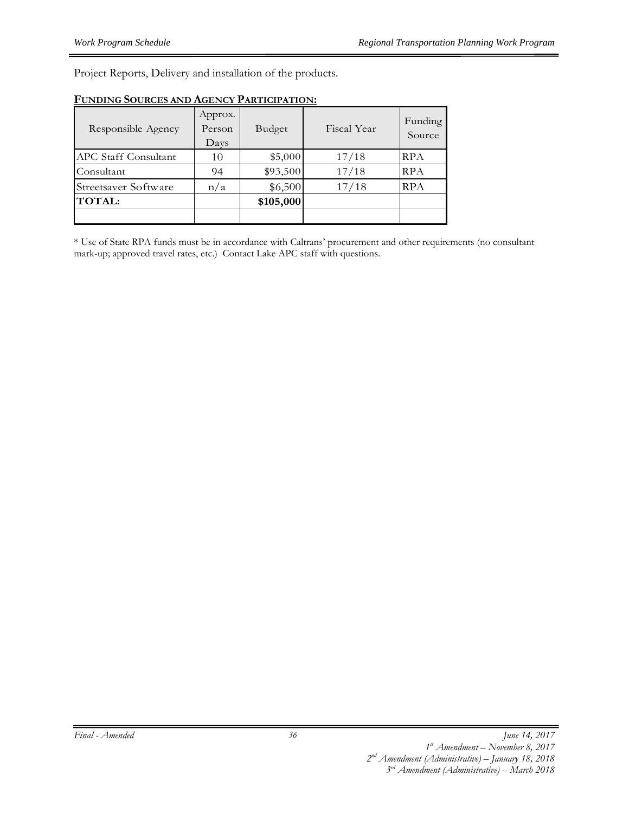Project Reports, Delivery and installation of the products.

| Responsible Agency          | Approx.<br>Person<br>Days | Budget    | Fiscal Year | Funding<br>Source |
|-----------------------------|---------------------------|-----------|-------------|-------------------|
| <b>APC Staff Consultant</b> | 10                        | \$5,000   | 17/18       | RPA               |
| Consultant                  | 94                        | \$93,500  | 17/18       | <b>RPA</b>        |
| Streetsaver Software        | n/a                       | \$6,500   | 17/18       | <b>RPA</b>        |
| <b>TOTAL:</b>               |                           | \$105,000 |             |                   |
|                             |                           |           |             |                   |

#### **FUNDING SOURCES AND AGENCY PARTICIPATION:**

\* Use of State RPA funds must be in accordance with Caltrans' procurement and other requirements (no consultant mark-up; approved travel rates, etc.) Contact Lake APC staff with questions.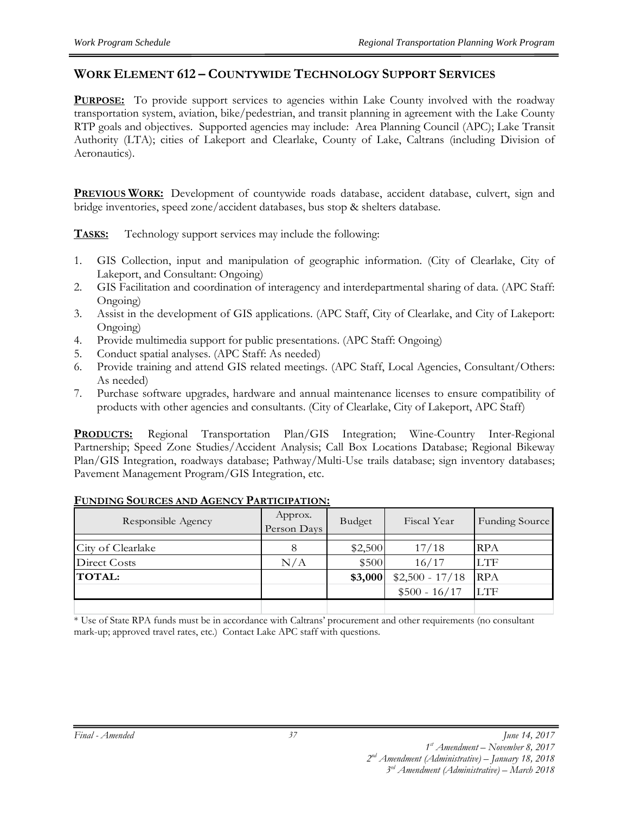#### **WORK ELEMENT 612 – COUNTYWIDE TECHNOLOGY SUPPORT SERVICES**

**PURPOSE:** To provide support services to agencies within Lake County involved with the roadway transportation system, aviation, bike/pedestrian, and transit planning in agreement with the Lake County RTP goals and objectives. Supported agencies may include: Area Planning Council (APC); Lake Transit Authority (LTA); cities of Lakeport and Clearlake, County of Lake, Caltrans (including Division of Aeronautics).

**PREVIOUS WORK:** Development of countywide roads database, accident database, culvert, sign and bridge inventories, speed zone/accident databases, bus stop & shelters database.

**TASKS:** Technology support services may include the following:

- 1. GIS Collection, input and manipulation of geographic information. (City of Clearlake, City of Lakeport, and Consultant: Ongoing)
- 2. GIS Facilitation and coordination of interagency and interdepartmental sharing of data. (APC Staff: Ongoing)
- 3. Assist in the development of GIS applications. (APC Staff, City of Clearlake, and City of Lakeport: Ongoing)
- 4. Provide multimedia support for public presentations. (APC Staff: Ongoing)
- 5. Conduct spatial analyses. (APC Staff: As needed)
- 6. Provide training and attend GIS related meetings. (APC Staff, Local Agencies, Consultant/Others: As needed)
- 7. Purchase software upgrades, hardware and annual maintenance licenses to ensure compatibility of products with other agencies and consultants. (City of Clearlake, City of Lakeport, APC Staff)

**PRODUCTS:** Regional Transportation Plan/GIS Integration; Wine-Country Inter-Regional Partnership; Speed Zone Studies/Accident Analysis; Call Box Locations Database; Regional Bikeway Plan/GIS Integration, roadways database; Pathway/Multi-Use trails database; sign inventory databases; Pavement Management Program/GIS Integration, etc.

| Responsible Agency | Approx.<br>Person Days | Budget  | Fiscal Year      | Funding Source |
|--------------------|------------------------|---------|------------------|----------------|
| City of Clearlake  | 8                      | \$2,500 | 17/18            | <b>RPA</b>     |
| Direct Costs       | N/A                    | \$500   | 16/17            | <b>LTF</b>     |
| <b>TOTAL:</b>      |                        | \$3,000 | $$2,500 - 17/18$ | <b>RPA</b>     |
|                    |                        |         | $$500 - 16/17$   | <b>LTF</b>     |
|                    |                        |         |                  |                |

#### **FUNDING SOURCES AND AGENCY PARTICIPATION:**

\* Use of State RPA funds must be in accordance with Caltrans' procurement and other requirements (no consultant mark-up; approved travel rates, etc.) Contact Lake APC staff with questions.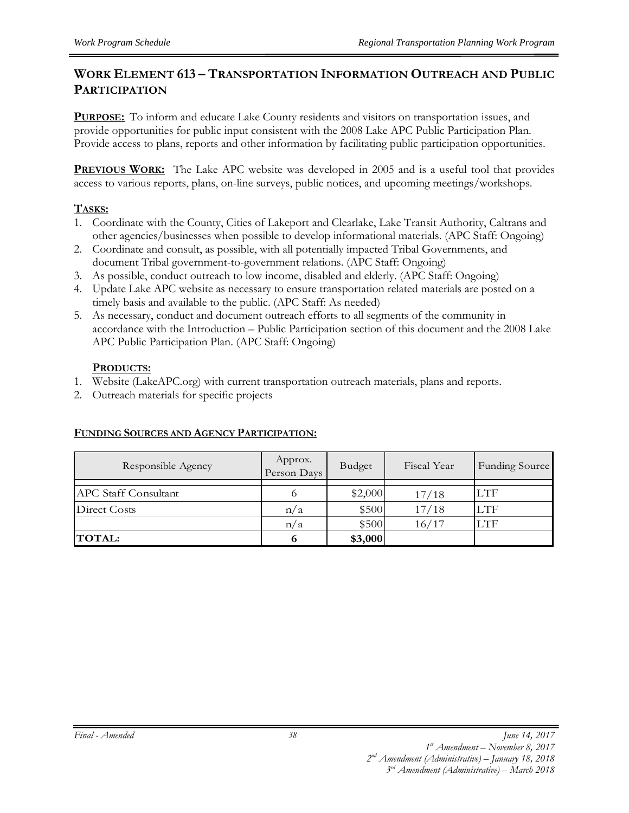#### **WORK ELEMENT 613 – TRANSPORTATION INFORMATION OUTREACH AND PUBLIC PARTICIPATION**

**PURPOSE:** To inform and educate Lake County residents and visitors on transportation issues, and provide opportunities for public input consistent with the 2008 Lake APC Public Participation Plan. Provide access to plans, reports and other information by facilitating public participation opportunities.

**PREVIOUS WORK:** The Lake APC website was developed in 2005 and is a useful tool that provides access to various reports, plans, on-line surveys, public notices, and upcoming meetings/workshops.

#### **TASKS:**

- 1. Coordinate with the County, Cities of Lakeport and Clearlake, Lake Transit Authority, Caltrans and other agencies/businesses when possible to develop informational materials. (APC Staff: Ongoing)
- 2. Coordinate and consult, as possible, with all potentially impacted Tribal Governments, and document Tribal government-to-government relations. (APC Staff: Ongoing)
- 3. As possible, conduct outreach to low income, disabled and elderly. (APC Staff: Ongoing)
- 4. Update Lake APC website as necessary to ensure transportation related materials are posted on a timely basis and available to the public. (APC Staff: As needed)
- 5. As necessary, conduct and document outreach efforts to all segments of the community in accordance with the Introduction – Public Participation section of this document and the 2008 Lake APC Public Participation Plan. (APC Staff: Ongoing)

#### **PRODUCTS:**

- 1. Website (LakeAPC.org) with current transportation outreach materials, plans and reports.
- 2. Outreach materials for specific projects

#### **FUNDING SOURCES AND AGENCY PARTICIPATION:**

| Responsible Agency          | Approx.<br>Person Days | <b>Budget</b> | Fiscal Year | Funding Source |
|-----------------------------|------------------------|---------------|-------------|----------------|
|                             |                        |               |             |                |
| <b>APC Staff Consultant</b> | O                      | \$2,000       | 17/18       | LTF            |
| Direct Costs                | n/a                    | \$500         | 17/18       | <b>LTF</b>     |
|                             | n/a                    | \$500         | 16/17       | <b>LTF</b>     |
| <b>TOTAL:</b>               | 6                      | \$3,000       |             |                |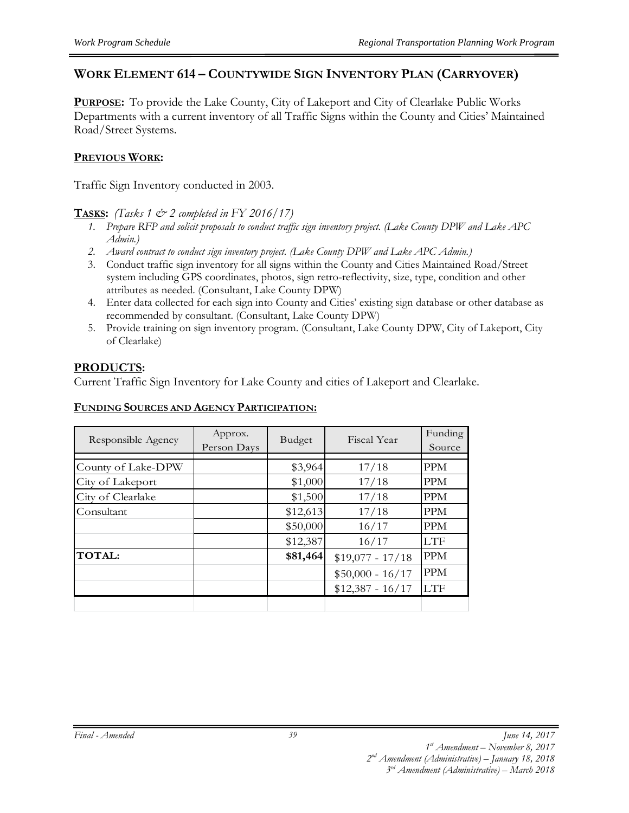#### **WORK ELEMENT 614 – COUNTYWIDE SIGN INVENTORY PLAN (CARRYOVER)**

**PURPOSE:** To provide the Lake County, City of Lakeport and City of Clearlake Public Works Departments with a current inventory of all Traffic Signs within the County and Cities' Maintained Road/Street Systems.

#### **PREVIOUS WORK:**

Traffic Sign Inventory conducted in 2003.

#### **TASKS:** *(Tasks 1 & 2 completed in FY 2016/17)*

- *1. Prepare RFP and solicit proposals to conduct traffic sign inventory project. (Lake County DPW and Lake APC Admin.)*
- *2. Award contract to conduct sign inventory project. (Lake County DPW and Lake APC Admin.)*
- 3. Conduct traffic sign inventory for all signs within the County and Cities Maintained Road/Street system including GPS coordinates, photos, sign retro-reflectivity, size, type, condition and other attributes as needed. (Consultant, Lake County DPW)
- 4. Enter data collected for each sign into County and Cities' existing sign database or other database as recommended by consultant. (Consultant, Lake County DPW)
- 5. Provide training on sign inventory program. (Consultant, Lake County DPW, City of Lakeport, City of Clearlake)

#### **PRODUCTS:**

Current Traffic Sign Inventory for Lake County and cities of Lakeport and Clearlake.

#### **FUNDING SOURCES AND AGENCY PARTICIPATION:**

| Responsible Agency | Approx.<br>Person Days | Budget   | Fiscal Year       | Funding<br>Source |
|--------------------|------------------------|----------|-------------------|-------------------|
|                    |                        |          |                   |                   |
| County of Lake-DPW |                        | \$3,964  | 17/18             | <b>PPM</b>        |
| City of Lakeport   |                        | \$1,000  | 17/18             | <b>PPM</b>        |
| City of Clearlake  |                        | \$1,500  | 17/18             | <b>PPM</b>        |
| Consultant         |                        | \$12,613 | 17/18             | <b>PPM</b>        |
|                    |                        | \$50,000 | 16/17             | <b>PPM</b>        |
|                    |                        | \$12,387 | 16/17             | <b>LTF</b>        |
| <b>TOTAL:</b>      |                        | \$81,464 | $$19,077 - 17/18$ | <b>PPM</b>        |
|                    |                        |          | $$50,000 - 16/17$ | <b>PPM</b>        |
|                    |                        |          | $$12,387 - 16/17$ | <b>LTF</b>        |
|                    |                        |          |                   |                   |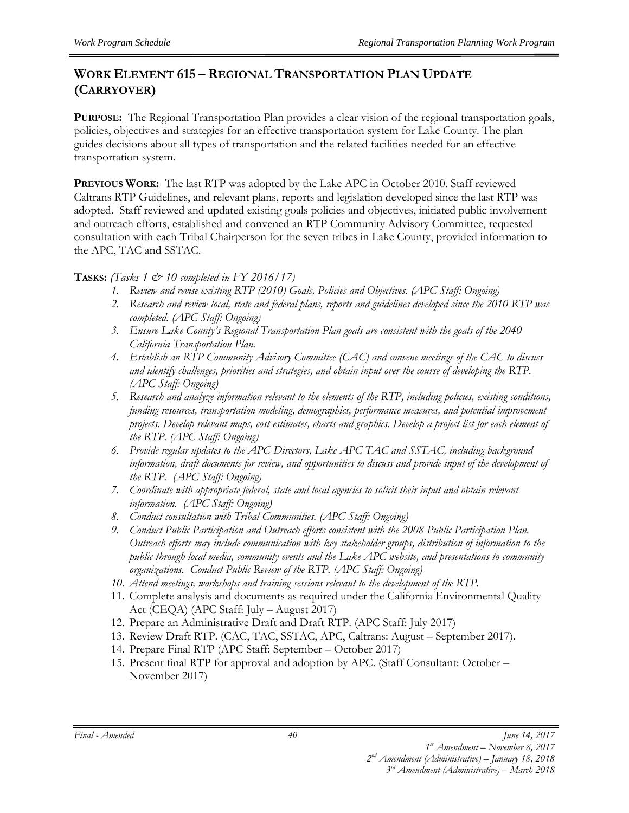#### **WORK ELEMENT 615 – REGIONAL TRANSPORTATION PLAN UPDATE (CARRYOVER)**

**PURPOSE:** The Regional Transportation Plan provides a clear vision of the regional transportation goals, policies, objectives and strategies for an effective transportation system for Lake County. The plan guides decisions about all types of transportation and the related facilities needed for an effective transportation system.

**PREVIOUS WORK:** The last RTP was adopted by the Lake APC in October 2010. Staff reviewed Caltrans RTP Guidelines, and relevant plans, reports and legislation developed since the last RTP was adopted. Staff reviewed and updated existing goals policies and objectives, initiated public involvement and outreach efforts, established and convened an RTP Community Advisory Committee, requested consultation with each Tribal Chairperson for the seven tribes in Lake County, provided information to the APC, TAC and SSTAC.

#### **TASKS:** *(Tasks 1 & 10 completed in FY 2016/17)*

- *1. Review and revise existing RTP (2010) Goals, Policies and Objectives. (APC Staff: Ongoing)*
- *2. Research and review local, state and federal plans, reports and guidelines developed since the 2010 RTP was completed. (APC Staff: Ongoing)*
- *3. Ensure Lake County's Regional Transportation Plan goals are consistent with the goals of the 2040 California Transportation Plan.*
- *4. Establish an RTP Community Advisory Committee (CAC) and convene meetings of the CAC to discuss and identify challenges, priorities and strategies, and obtain input over the course of developing the RTP. (APC Staff: Ongoing)*
- *5. Research and analyze information relevant to the elements of the RTP, including policies, existing conditions, funding resources, transportation modeling, demographics, performance measures, and potential improvement projects. Develop relevant maps, cost estimates, charts and graphics. Develop a project list for each element of the RTP. (APC Staff: Ongoing)*
- *6. Provide regular updates to the APC Directors, Lake APC TAC and SSTAC, including background information, draft documents for review, and opportunities to discuss and provide input of the development of the RTP. (APC Staff: Ongoing)*
- *7. Coordinate with appropriate federal, state and local agencies to solicit their input and obtain relevant information. (APC Staff: Ongoing)*
- *8. Conduct consultation with Tribal Communities. (APC Staff: Ongoing)*
- *9. Conduct Public Participation and Outreach efforts consistent with the 2008 Public Participation Plan. Outreach efforts may include communication with key stakeholder groups, distribution of information to the public through local media, community events and the Lake APC website, and presentations to community organizations. Conduct Public Review of the RTP. (APC Staff: Ongoing)*
- *10. Attend meetings, workshops and training sessions relevant to the development of the RTP.*
- 11. Complete analysis and documents as required under the California Environmental Quality Act (CEQA) (APC Staff: July – August 2017)
- 12. Prepare an Administrative Draft and Draft RTP. (APC Staff: July 2017)
- 13. Review Draft RTP. (CAC, TAC, SSTAC, APC, Caltrans: August September 2017).
- 14. Prepare Final RTP (APC Staff: September October 2017)
- 15. Present final RTP for approval and adoption by APC. (Staff Consultant: October November 2017)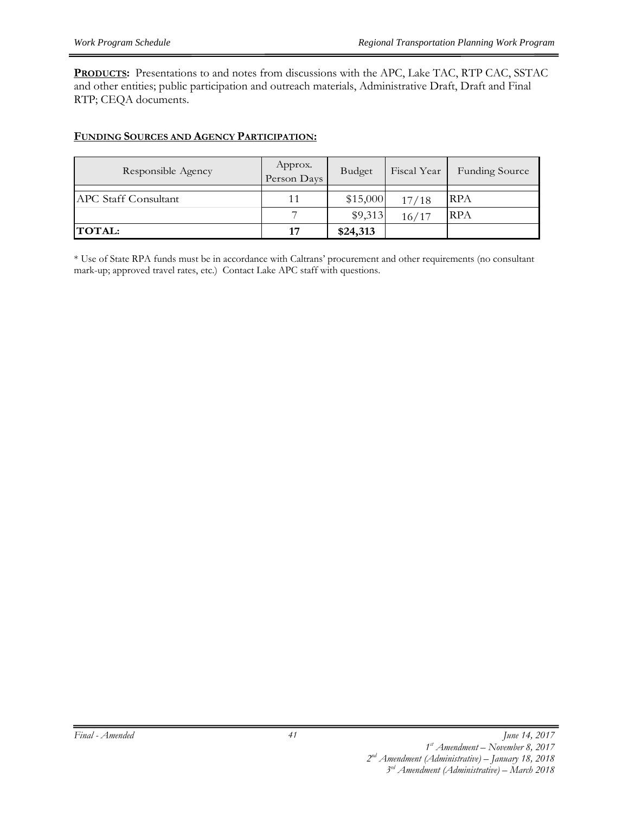**PRODUCTS:** Presentations to and notes from discussions with the APC, Lake TAC, RTP CAC, SSTAC and other entities; public participation and outreach materials, Administrative Draft, Draft and Final RTP; CEQA documents.

#### **FUNDING SOURCES AND AGENCY PARTICIPATION:**

| Responsible Agency          | Approx.<br>Person Days | <b>Budget</b> | Fiscal Year | <b>Funding Source</b> |
|-----------------------------|------------------------|---------------|-------------|-----------------------|
|                             |                        |               |             |                       |
| <b>APC</b> Staff Consultant | 11                     | \$15,000      | 17/18       | <b>RPA</b>            |
|                             |                        | \$9,313       | 16/17       | <b>RPA</b>            |
| <b>TOTAL:</b>               | 17                     | \$24,313      |             |                       |

\* Use of State RPA funds must be in accordance with Caltrans' procurement and other requirements (no consultant mark-up; approved travel rates, etc.) Contact Lake APC staff with questions.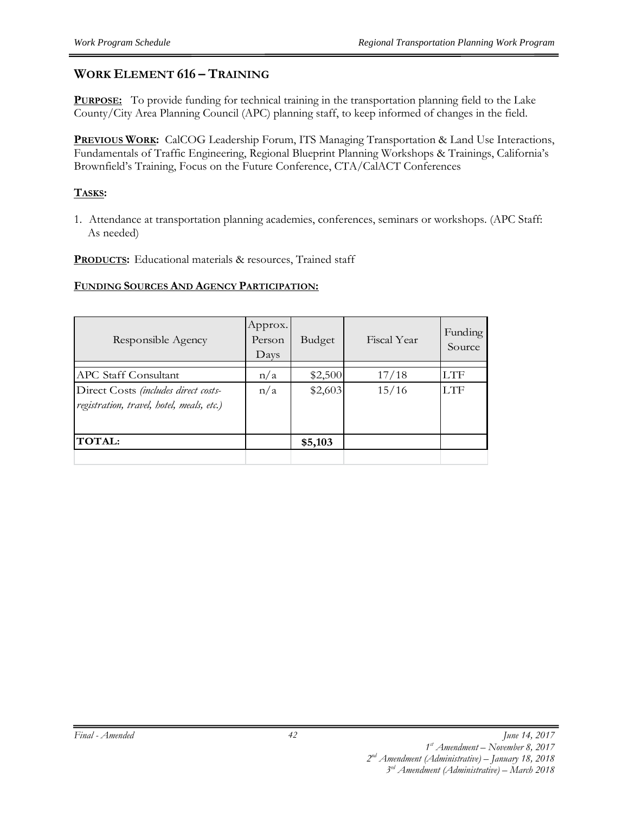#### **WORK ELEMENT 616 – TRAINING**

**PURPOSE:** To provide funding for technical training in the transportation planning field to the Lake County/City Area Planning Council (APC) planning staff, to keep informed of changes in the field.

**PREVIOUS WORK:** CalCOG Leadership Forum, ITS Managing Transportation & Land Use Interactions, Fundamentals of Traffic Engineering, Regional Blueprint Planning Workshops & Trainings, California's Brownfield's Training, Focus on the Future Conference, CTA/CalACT Conferences

#### **TASKS:**

1. Attendance at transportation planning academies, conferences, seminars or workshops. (APC Staff: As needed)

PRODUCTS: Educational materials & resources, Trained staff

#### **FUNDING SOURCES AND AGENCY PARTICIPATION:**

| Responsible Agency                                                                | Approx.<br>Person<br>Days | Budget  | Fiscal Year | Funding<br>Source |
|-----------------------------------------------------------------------------------|---------------------------|---------|-------------|-------------------|
| <b>APC Staff Consultant</b>                                                       | n/a                       | \$2,500 | 17/18       | LTF               |
| Direct Costs (includes direct costs-<br>registration, travel, hotel, meals, etc.) | n/a                       | \$2,603 | 15/16       | LTF               |
| <b>TOTAL:</b>                                                                     |                           | \$5,103 |             |                   |
|                                                                                   |                           |         |             |                   |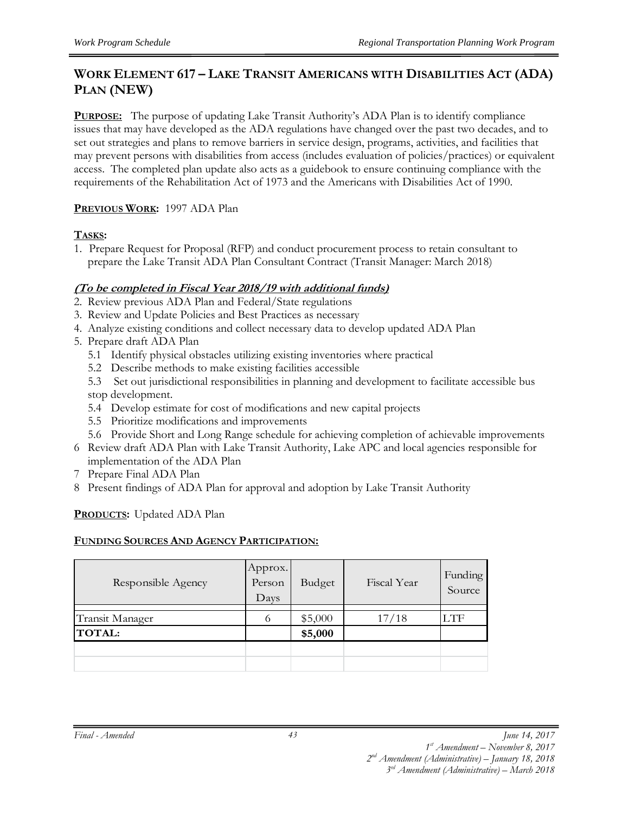#### **WORK ELEMENT 617 – LAKE TRANSIT AMERICANS WITH DISABILITIES ACT (ADA) PLAN (NEW)**

**PURPOSE:** The purpose of updating Lake Transit Authority's ADA Plan is to identify compliance issues that may have developed as the ADA regulations have changed over the past two decades, and to set out strategies and plans to remove barriers in service design, programs, activities, and facilities that may prevent persons with disabilities from access (includes evaluation of policies/practices) or equivalent access. The completed plan update also acts as a guidebook to ensure continuing compliance with the requirements of the Rehabilitation Act of 1973 and the Americans with Disabilities Act of 1990.

#### **PREVIOUS WORK:** 1997 ADA Plan

#### **TASKS:**

1. Prepare Request for Proposal (RFP) and conduct procurement process to retain consultant to prepare the Lake Transit ADA Plan Consultant Contract (Transit Manager: March 2018)

#### **(To be completed in Fiscal Year 2018/19 with additional funds)**

- 2. Review previous ADA Plan and Federal/State regulations
- 3. Review and Update Policies and Best Practices as necessary
- 4. Analyze existing conditions and collect necessary data to develop updated ADA Plan
- 5. Prepare draft ADA Plan
	- 5.1 Identify physical obstacles utilizing existing inventories where practical
	- 5.2 Describe methods to make existing facilities accessible
	- 5.3 Set out jurisdictional responsibilities in planning and development to facilitate accessible bus stop development.
	- 5.4 Develop estimate for cost of modifications and new capital projects
	- 5.5 Prioritize modifications and improvements
	- 5.6 Provide Short and Long Range schedule for achieving completion of achievable improvements
- 6 Review draft ADA Plan with Lake Transit Authority, Lake APC and local agencies responsible for implementation of the ADA Plan
- 7 Prepare Final ADA Plan
- 8 Present findings of ADA Plan for approval and adoption by Lake Transit Authority

#### **PRODUCTS:** Updated ADA Plan

#### **FUNDING SOURCES AND AGENCY PARTICIPATION:**

| Responsible Agency     | Approx.<br>Person<br>Days | Budget  | Fiscal Year | Funding<br>Source |
|------------------------|---------------------------|---------|-------------|-------------------|
|                        |                           |         |             |                   |
| <b>Transit Manager</b> | O                         | \$5,000 | 17/18       | LTF               |
| <b>TOTAL:</b>          |                           | \$5,000 |             |                   |
|                        |                           |         |             |                   |
|                        |                           |         |             |                   |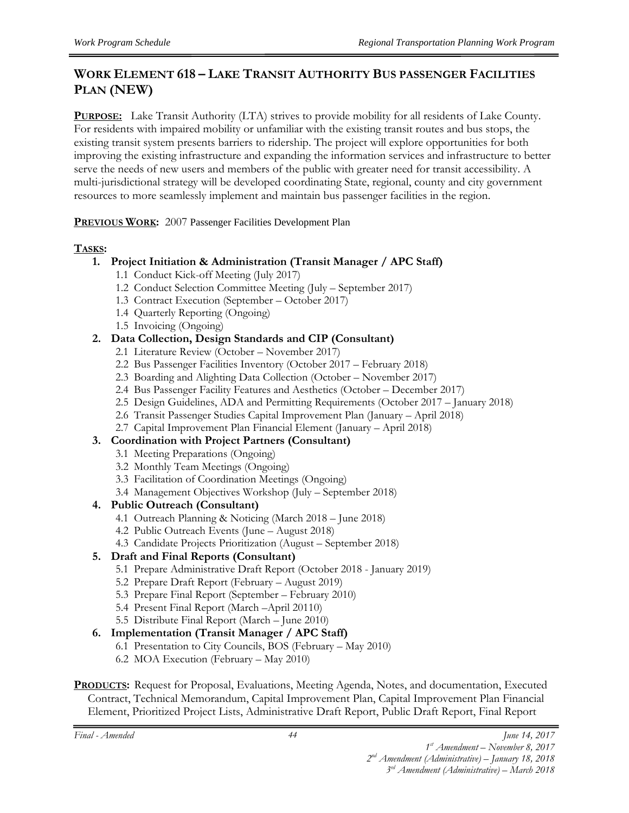#### **WORK ELEMENT 618 – LAKE TRANSIT AUTHORITY BUS PASSENGER FACILITIES PLAN (NEW)**

**PURPOSE:** Lake Transit Authority (LTA) strives to provide mobility for all residents of Lake County. For residents with impaired mobility or unfamiliar with the existing transit routes and bus stops, the existing transit system presents barriers to ridership. The project will explore opportunities for both improving the existing infrastructure and expanding the information services and infrastructure to better serve the needs of new users and members of the public with greater need for transit accessibility. A multi-jurisdictional strategy will be developed coordinating State, regional, county and city government resources to more seamlessly implement and maintain bus passenger facilities in the region.

**PREVIOUS WORK:** 2007 Passenger Facilities Development Plan

#### **TASKS:**

#### **1. Project Initiation & Administration (Transit Manager / APC Staff)**

- 1.1 Conduct Kick-off Meeting (July 2017)
- 1.2 Conduct Selection Committee Meeting (July September 2017)
- 1.3 Contract Execution (September October 2017)
- 1.4 Quarterly Reporting (Ongoing)
- 1.5 Invoicing (Ongoing)

#### **2. Data Collection, Design Standards and CIP (Consultant)**

- 2.1 Literature Review (October November 2017)
- 2.2 Bus Passenger Facilities Inventory (October 2017 February 2018)
- 2.3 Boarding and Alighting Data Collection (October November 2017)
- 2.4 Bus Passenger Facility Features and Aesthetics (October December 2017)
- 2.5 Design Guidelines, ADA and Permitting Requirements (October 2017 January 2018)
- 2.6 Transit Passenger Studies Capital Improvement Plan (January April 2018)
- 2.7 Capital Improvement Plan Financial Element (January April 2018)

#### **3. Coordination with Project Partners (Consultant)**

- 3.1 Meeting Preparations (Ongoing)
- 3.2 Monthly Team Meetings (Ongoing)
- 3.3 Facilitation of Coordination Meetings (Ongoing)
- 3.4 Management Objectives Workshop (July September 2018)

#### **4. Public Outreach (Consultant)**

- 4.1 Outreach Planning & Noticing (March 2018 June 2018)
- 4.2 Public Outreach Events (June August 2018)
- 4.3 Candidate Projects Prioritization (August September 2018)

#### **5. Draft and Final Reports (Consultant)**

- 5.1 Prepare Administrative Draft Report (October 2018 January 2019)
- 5.2 Prepare Draft Report (February August 2019)
- 5.3 Prepare Final Report (September February 2010)
- 5.4 Present Final Report (March –April 20110)
- 5.5 Distribute Final Report (March June 2010)

#### **6. Implementation (Transit Manager / APC Staff)**

- 6.1 Presentation to City Councils, BOS (February May 2010)
- 6.2 MOA Execution (February May 2010)

#### **PRODUCTS:** Request for Proposal, Evaluations, Meeting Agenda, Notes, and documentation, Executed Contract, Technical Memorandum, Capital Improvement Plan, Capital Improvement Plan Financial Element, Prioritized Project Lists, Administrative Draft Report, Public Draft Report, Final Report

#### *Final - Amended June 14, 2017 1st Amendment – November 8, 2017*

*2nd Amendment (Administrative) – January 18, 2018*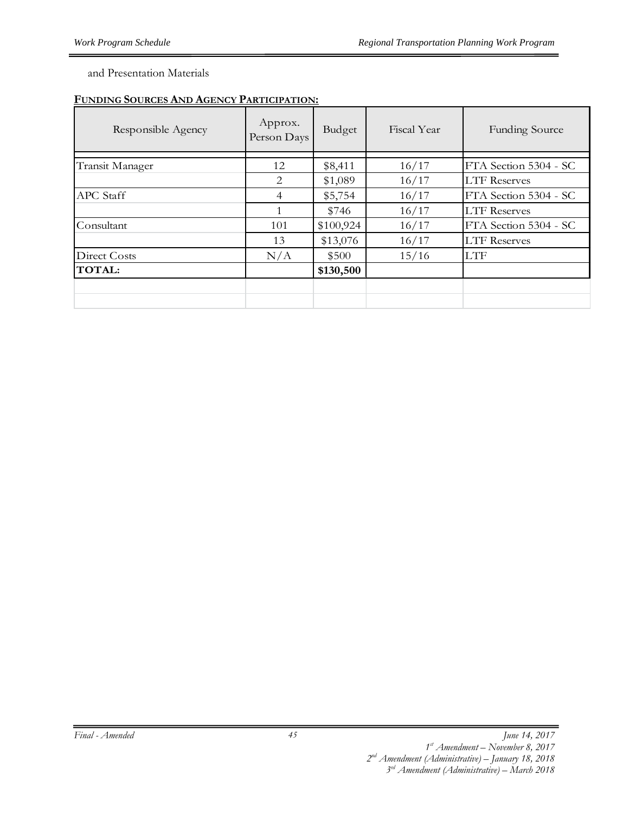and Presentation Materials

#### **FUNDING SOURCES AND AGENCY PARTICIPATION:**

| Responsible Agency | Approx.<br>Person Days | Budget    | Fiscal Year | <b>Funding Source</b> |
|--------------------|------------------------|-----------|-------------|-----------------------|
| Transit Manager    | 12                     | \$8,411   | 16/17       | FTA Section 5304 - SC |
|                    | 2                      | \$1,089   | 16/17       | <b>LTF</b> Reserves   |
| <b>APC</b> Staff   | $\overline{4}$         | \$5,754   | 16/17       | FTA Section 5304 - SC |
|                    | 1                      | \$746     | 16/17       | <b>LTF Reserves</b>   |
| Consultant         | 101                    | \$100,924 | 16/17       | FTA Section 5304 - SC |
|                    | 13                     | \$13,076  | 16/17       | <b>LTF Reserves</b>   |
| Direct Costs       | N/A                    | \$500     | 15/16       | <b>LTF</b>            |
| <b>TOTAL:</b>      |                        | \$130,500 |             |                       |
|                    |                        |           |             |                       |
|                    |                        |           |             |                       |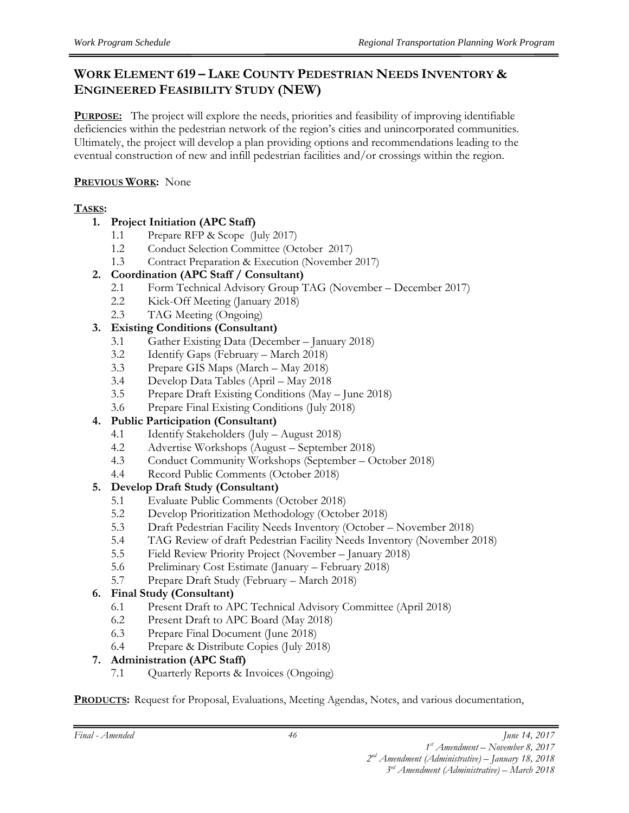#### **WORK ELEMENT 619 – LAKE COUNTY PEDESTRIAN NEEDS INVENTORY & ENGINEERED FEASIBILITY STUDY (NEW)**

**PURPOSE:** The project will explore the needs, priorities and feasibility of improving identifiable deficiencies within the pedestrian network of the region's cities and unincorporated communities. Ultimately, the project will develop a plan providing options and recommendations leading to the eventual construction of new and infill pedestrian facilities and/or crossings within the region.

#### **PREVIOUS WORK:** None

#### **TASKS:**

#### **1. Project Initiation (APC Staff)**

- 1.1 Prepare RFP & Scope (July 2017)
- 1.2 Conduct Selection Committee (October 2017)
- 1.3 Contract Preparation & Execution (November 2017)

#### **2. Coordination (APC Staff / Consultant)**

- 2.1 Form Technical Advisory Group TAG (November December 2017)
- 2.2 Kick-Off Meeting (January 2018)
- 2.3 TAG Meeting (Ongoing)

#### **3. Existing Conditions (Consultant)**

- 3.1 Gather Existing Data (December January 2018)
- 3.2 Identify Gaps (February March 2018)
- 3.3 Prepare GIS Maps (March May 2018)
- 3.4 Develop Data Tables (April May 2018
- 3.5 Prepare Draft Existing Conditions (May June 2018)
- 3.6 Prepare Final Existing Conditions (July 2018)

#### **4. Public Participation (Consultant)**

- 4.1 Identify Stakeholders (July August 2018)
- 4.2 Advertise Workshops (August September 2018)
- 4.3 Conduct Community Workshops (September October 2018)
- 4.4 Record Public Comments (October 2018)

#### **5. Develop Draft Study (Consultant)**

- 5.1 Evaluate Public Comments (October 2018)
- 5.2 Develop Prioritization Methodology (October 2018)
- 5.3 Draft Pedestrian Facility Needs Inventory (October November 2018)
- 5.4 TAG Review of draft Pedestrian Facility Needs Inventory (November 2018)
- 5.5 Field Review Priority Project (November January 2018)
- 5.6 Preliminary Cost Estimate (January February 2018)
- 5.7 Prepare Draft Study (February March 2018)

#### **6. Final Study (Consultant)**

- 6.1 Present Draft to APC Technical Advisory Committee (April 2018)
- 6.2 Present Draft to APC Board (May 2018)
- 6.3 Prepare Final Document (June 2018)
- 6.4 Prepare & Distribute Copies (July 2018)

#### **7. Administration (APC Staff)**

7.1 Quarterly Reports & Invoices (Ongoing)

**PRODUCTS:** Request for Proposal, Evaluations, Meeting Agendas, Notes, and various documentation,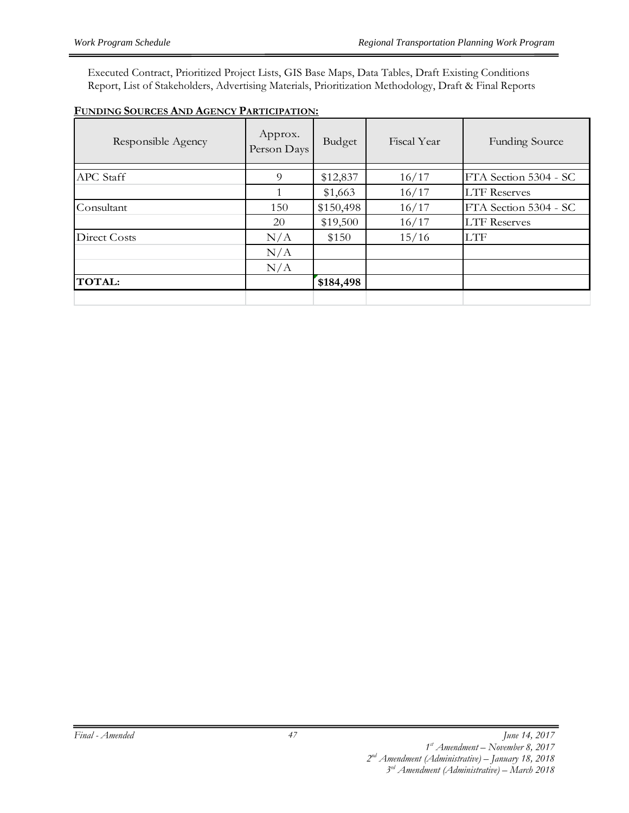Executed Contract, Prioritized Project Lists, GIS Base Maps, Data Tables, Draft Existing Conditions Report, List of Stakeholders, Advertising Materials, Prioritization Methodology, Draft & Final Reports

|--|

| Responsible Agency | Approx.<br>Person Days | Budget    | Fiscal Year | <b>Funding Source</b> |
|--------------------|------------------------|-----------|-------------|-----------------------|
| <b>APC</b> Staff   | 9                      | \$12,837  | 16/17       | FTA Section 5304 - SC |
|                    |                        | \$1,663   | 16/17       | <b>LTF</b> Reserves   |
| Consultant         | 150                    | \$150,498 | 16/17       | FTA Section 5304 - SC |
|                    | 20                     | \$19,500  | 16/17       | <b>LTF Reserves</b>   |
| Direct Costs       | N/A                    | \$150     | 15/16       | <b>LTF</b>            |
|                    | N/A                    |           |             |                       |
|                    | N/A                    |           |             |                       |
| <b>TOTAL:</b>      |                        | \$184,498 |             |                       |
|                    |                        |           |             |                       |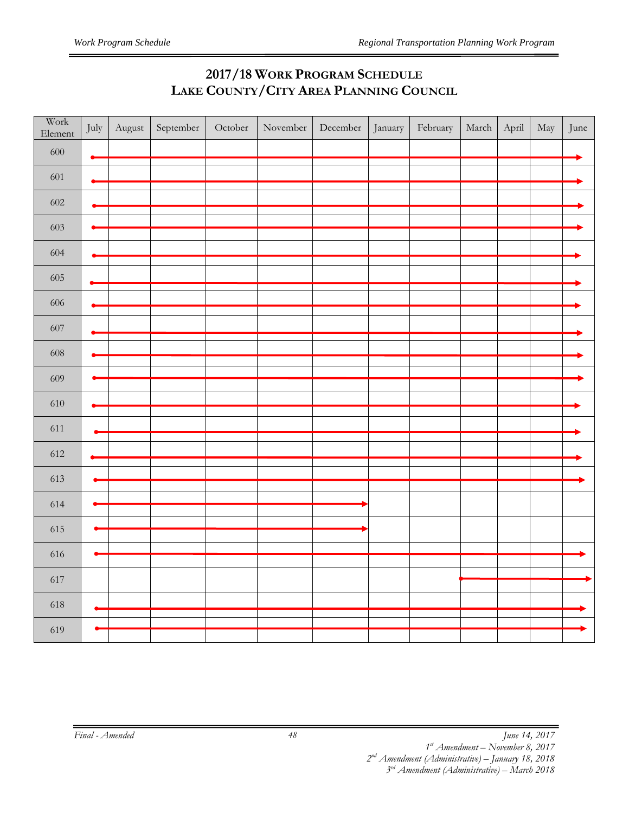## **2017/18 WORK PROGRAM SCHEDULE LAKE COUNTY/CITY AREA PLANNING COUNCIL**

| Work<br>Element | July      | August | September | $\hbox{October}$ | November | December | January | February | March | April | May | June |
|-----------------|-----------|--------|-----------|------------------|----------|----------|---------|----------|-------|-------|-----|------|
| 600             | $\bullet$ |        |           |                  |          |          |         |          |       |       |     |      |
| 601             |           |        |           |                  |          |          |         |          |       |       |     |      |
| 602             |           |        |           |                  |          |          |         |          |       |       |     |      |
| 603             |           |        |           |                  |          |          |         |          |       |       |     |      |
| 604             |           |        |           |                  |          |          |         |          |       |       |     |      |
| 605             |           |        |           |                  |          |          |         |          |       |       |     |      |
| 606             |           |        |           |                  |          |          |         |          |       |       |     |      |
| 607             |           |        |           |                  |          |          |         |          |       |       |     |      |
| 608             |           |        |           |                  |          |          |         |          |       |       |     |      |
| 609             |           |        |           |                  |          |          |         |          |       |       |     |      |
|                 |           |        |           |                  |          |          |         |          |       |       |     |      |
| 610             |           |        |           |                  |          |          |         |          |       |       |     |      |
| 611             |           |        |           |                  |          |          |         |          |       |       |     |      |
| 612             |           |        |           |                  |          |          |         |          |       |       |     |      |
| 613             |           |        |           |                  |          |          |         |          |       |       |     |      |
|                 |           |        |           |                  |          |          |         |          |       |       |     |      |
| 614             |           |        |           |                  |          |          |         |          |       |       |     |      |
| 615             |           |        |           |                  |          |          |         |          |       |       |     |      |
| 616             |           |        |           |                  |          |          |         |          |       |       |     |      |
|                 |           |        |           |                  |          |          |         |          |       |       |     |      |
| 617             |           |        |           |                  |          |          |         |          |       |       |     |      |
| 618             |           |        |           |                  |          |          |         |          |       |       |     |      |
| 619             |           |        |           |                  |          |          |         |          |       |       |     |      |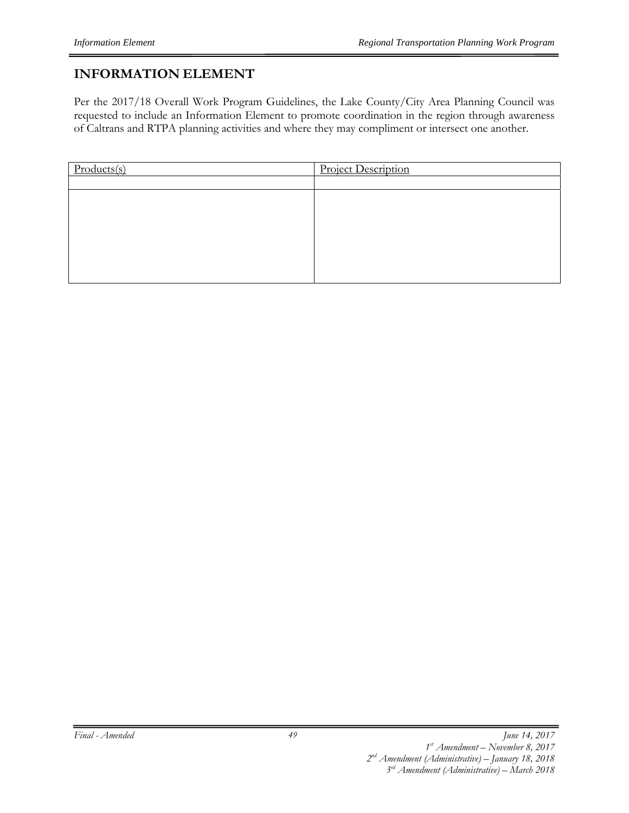## **INFORMATION ELEMENT**

Per the 2017/18 Overall Work Program Guidelines, the Lake County/City Area Planning Council was requested to include an Information Element to promote coordination in the region through awareness of Caltrans and RTPA planning activities and where they may compliment or intersect one another.

| Products(s) | <b>Project Description</b> |
|-------------|----------------------------|
|             |                            |
|             |                            |
|             |                            |
|             |                            |
|             |                            |
|             |                            |
|             |                            |
|             |                            |